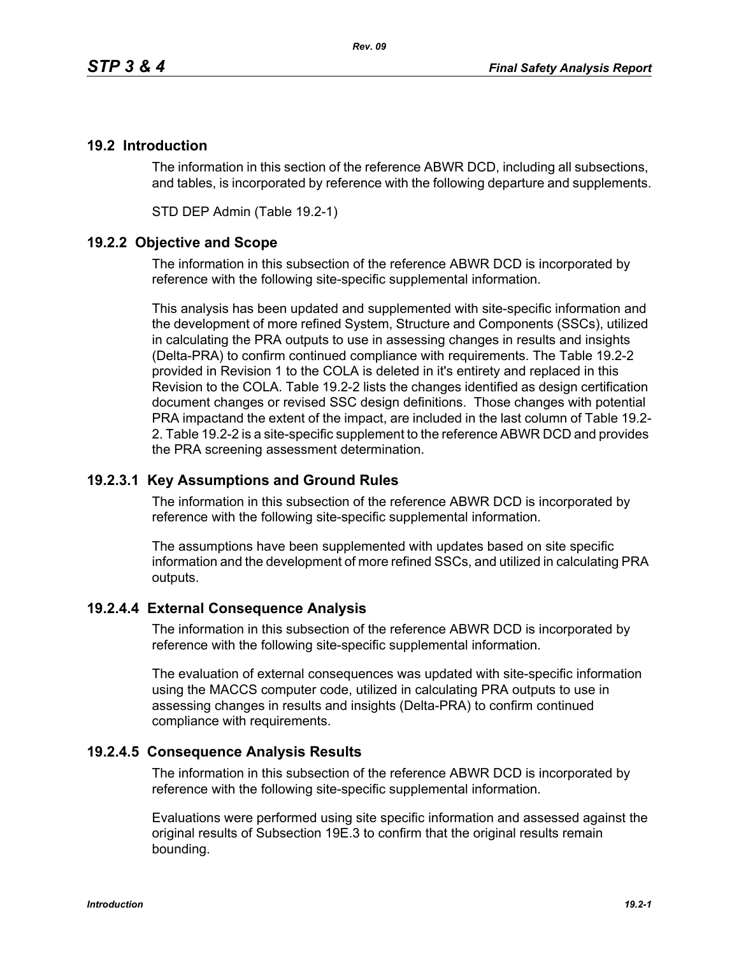# **19.2 Introduction**

The information in this section of the reference ABWR DCD, including all subsections, and tables, is incorporated by reference with the following departure and supplements.

STD DEP Admin (Table 19.2-1)

## **19.2.2 Objective and Scope**

The information in this subsection of the reference ABWR DCD is incorporated by reference with the following site-specific supplemental information.

This analysis has been updated and supplemented with site-specific information and the development of more refined System, Structure and Components (SSCs), utilized in calculating the PRA outputs to use in assessing changes in results and insights (Delta-PRA) to confirm continued compliance with requirements. The Table 19.2-2 provided in Revision 1 to the COLA is deleted in it's entirety and replaced in this Revision to the COLA. Table 19.2-2 lists the changes identified as design certification document changes or revised SSC design definitions. Those changes with potential PRA impactand the extent of the impact, are included in the last column of Table 19.2- 2. Table 19.2-2 is a site-specific supplement to the reference ABWR DCD and provides the PRA screening assessment determination.

### **19.2.3.1 Key Assumptions and Ground Rules**

The information in this subsection of the reference ABWR DCD is incorporated by reference with the following site-specific supplemental information.

The assumptions have been supplemented with updates based on site specific information and the development of more refined SSCs, and utilized in calculating PRA outputs.

### **19.2.4.4 External Consequence Analysis**

The information in this subsection of the reference ABWR DCD is incorporated by reference with the following site-specific supplemental information.

The evaluation of external consequences was updated with site-specific information using the MACCS computer code, utilized in calculating PRA outputs to use in assessing changes in results and insights (Delta-PRA) to confirm continued compliance with requirements.

### **19.2.4.5 Consequence Analysis Results**

The information in this subsection of the reference ABWR DCD is incorporated by reference with the following site-specific supplemental information.

Evaluations were performed using site specific information and assessed against the original results of Subsection 19E.3 to confirm that the original results remain bounding.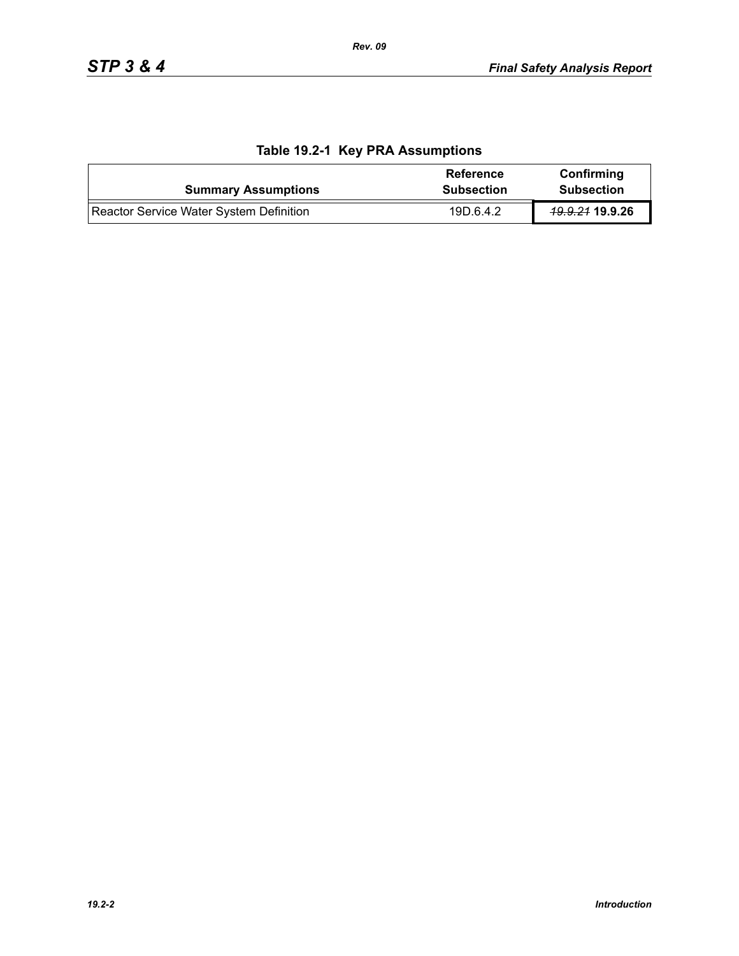| <b>Summary Assumptions</b>              | Reference<br><b>Subsection</b> | Confirming<br><b>Subsection</b> |
|-----------------------------------------|--------------------------------|---------------------------------|
| Reactor Service Water System Definition | 19D.6.4.2                      | <del>19.9.21</del> 19.9.26      |

# **Table 19.2-1 Key PRA Assumptions**

*Rev. 09*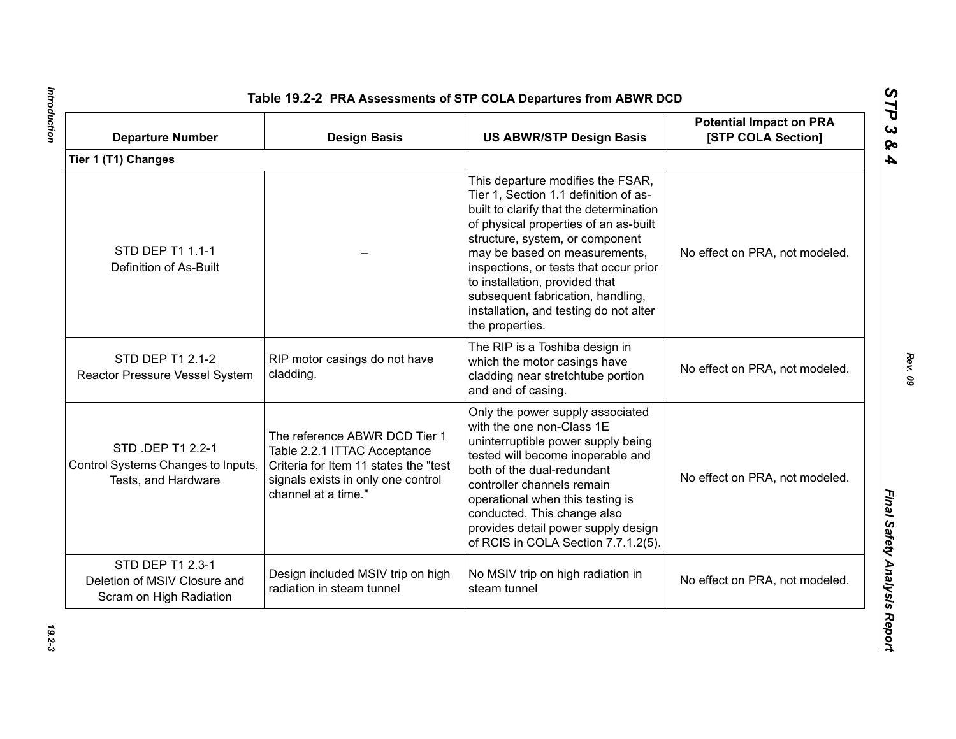| <b>Departure Number</b>                                                        | <b>Design Basis</b>                                                                                                                                                 | <b>US ABWR/STP Design Basis</b>                                                                                                                                                                                                                                                                                                                                                                                  | <b>Potential Impact on PRA</b><br>[STP COLA Section] |
|--------------------------------------------------------------------------------|---------------------------------------------------------------------------------------------------------------------------------------------------------------------|------------------------------------------------------------------------------------------------------------------------------------------------------------------------------------------------------------------------------------------------------------------------------------------------------------------------------------------------------------------------------------------------------------------|------------------------------------------------------|
| Tier 1 (T1) Changes                                                            |                                                                                                                                                                     |                                                                                                                                                                                                                                                                                                                                                                                                                  |                                                      |
| STD DEP T1 1.1-1<br>Definition of As-Built                                     |                                                                                                                                                                     | This departure modifies the FSAR,<br>Tier 1, Section 1.1 definition of as-<br>built to clarify that the determination<br>of physical properties of an as-built<br>structure, system, or component<br>may be based on measurements,<br>inspections, or tests that occur prior<br>to installation, provided that<br>subsequent fabrication, handling,<br>installation, and testing do not alter<br>the properties. | No effect on PRA, not modeled.                       |
| STD DEP T1 2.1-2<br>Reactor Pressure Vessel System                             | RIP motor casings do not have<br>cladding.                                                                                                                          | The RIP is a Toshiba design in<br>which the motor casings have<br>cladding near stretchtube portion<br>and end of casing.                                                                                                                                                                                                                                                                                        | No effect on PRA, not modeled.                       |
| STD .DEP T1 2.2-1<br>Control Systems Changes to Inputs,<br>Tests, and Hardware | The reference ABWR DCD Tier 1<br>Table 2.2.1 ITTAC Acceptance<br>Criteria for Item 11 states the "test<br>signals exists in only one control<br>channel at a time." | Only the power supply associated<br>with the one non-Class 1E<br>uninterruptible power supply being<br>tested will become inoperable and<br>both of the dual-redundant<br>controller channels remain<br>operational when this testing is<br>conducted. This change also<br>provides detail power supply design<br>of RCIS in COLA Section 7.7.1.2(5).                                                            | No effect on PRA, not modeled.                       |
| STD DEP T1 2.3-1<br>Deletion of MSIV Closure and<br>Scram on High Radiation    | Design included MSIV trip on high<br>radiation in steam tunnel                                                                                                      | No MSIV trip on high radiation in<br>steam tunnel                                                                                                                                                                                                                                                                                                                                                                | No effect on PRA, not modeled.                       |

Introduction *Introduction 19.2-3*

*Rev. 09*

*STP 3 & 4*

 $19.2 - 3$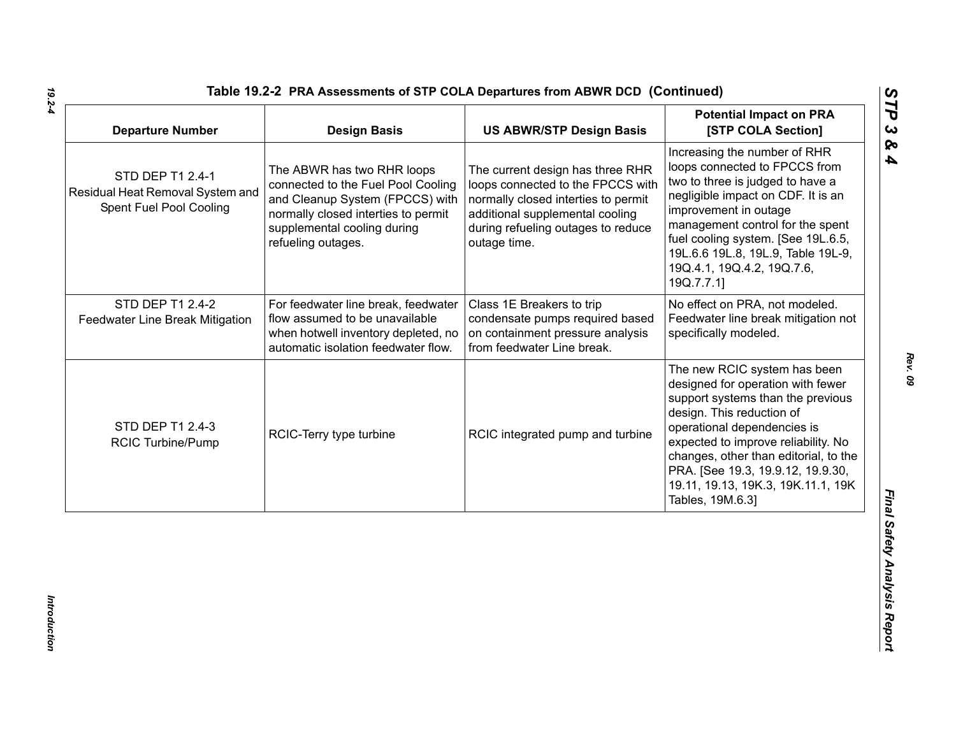| <b>Departure Number</b>                                                         | <b>Design Basis</b>                                                                                                                                                                             | <b>US ABWR/STP Design Basis</b>                                                                                                                                                                       | <b>Potential Impact on PRA</b><br>[STP COLA Section]                                                                                                                                                                                                                                                                                              |
|---------------------------------------------------------------------------------|-------------------------------------------------------------------------------------------------------------------------------------------------------------------------------------------------|-------------------------------------------------------------------------------------------------------------------------------------------------------------------------------------------------------|---------------------------------------------------------------------------------------------------------------------------------------------------------------------------------------------------------------------------------------------------------------------------------------------------------------------------------------------------|
| STD DEP T1 2.4-1<br>Residual Heat Removal System and<br>Spent Fuel Pool Cooling | The ABWR has two RHR loops<br>connected to the Fuel Pool Cooling<br>and Cleanup System (FPCCS) with<br>normally closed interties to permit<br>supplemental cooling during<br>refueling outages. | The current design has three RHR<br>loops connected to the FPCCS with<br>normally closed interties to permit<br>additional supplemental cooling<br>during refueling outages to reduce<br>outage time. | Increasing the number of RHR<br>loops connected to FPCCS from<br>two to three is judged to have a<br>negligible impact on CDF. It is an<br>improvement in outage<br>management control for the spent<br>fuel cooling system. [See 19L.6.5,<br>19L.6.6 19L.8, 19L.9, Table 19L-9,<br>19Q.4.1, 19Q.4.2, 19Q.7.6,<br>19Q.7.7.1]                      |
| STD DEP T1 2.4-2<br>Feedwater Line Break Mitigation                             | For feedwater line break, feedwater<br>flow assumed to be unavailable<br>when hotwell inventory depleted, no<br>automatic isolation feedwater flow.                                             | Class 1E Breakers to trip<br>condensate pumps required based<br>on containment pressure analysis<br>from feedwater Line break.                                                                        | No effect on PRA, not modeled.<br>Feedwater line break mitigation not<br>specifically modeled.                                                                                                                                                                                                                                                    |
| STD DEP T1 2.4-3<br><b>RCIC Turbine/Pump</b>                                    | RCIC-Terry type turbine                                                                                                                                                                         | RCIC integrated pump and turbine                                                                                                                                                                      | The new RCIC system has been<br>designed for operation with fewer<br>support systems than the previous<br>design. This reduction of<br>operational dependencies is<br>expected to improve reliability. No<br>changes, other than editorial, to the<br>PRA. [See 19.3, 19.9.12, 19.9.30,<br>19.11, 19.13, 19K.3, 19K.11.1, 19K<br>Tables, 19M.6.3] |

*19.2-4*

*Rev. 09*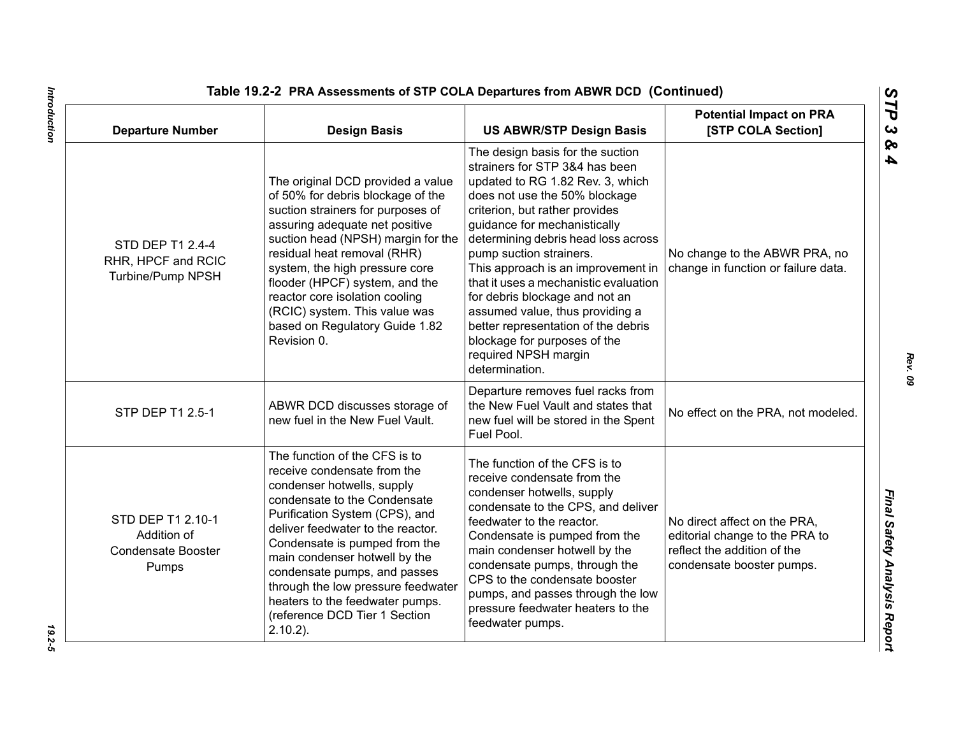| <b>Departure Number</b>                                                | <b>Design Basis</b>                                                                                                                                                                                                                                                                                                                                                                                                          | <b>US ABWR/STP Design Basis</b>                                                                                                                                                                                                                                                                                                                                                                                                                                                                                                                  | <b>Potential Impact on PRA</b><br>[STP COLA Section]                                                                       |
|------------------------------------------------------------------------|------------------------------------------------------------------------------------------------------------------------------------------------------------------------------------------------------------------------------------------------------------------------------------------------------------------------------------------------------------------------------------------------------------------------------|--------------------------------------------------------------------------------------------------------------------------------------------------------------------------------------------------------------------------------------------------------------------------------------------------------------------------------------------------------------------------------------------------------------------------------------------------------------------------------------------------------------------------------------------------|----------------------------------------------------------------------------------------------------------------------------|
| STD DEP T1 2.4-4<br>RHR, HPCF and RCIC<br>Turbine/Pump NPSH            | The original DCD provided a value<br>of 50% for debris blockage of the<br>suction strainers for purposes of<br>assuring adequate net positive<br>suction head (NPSH) margin for the<br>residual heat removal (RHR)<br>system, the high pressure core<br>flooder (HPCF) system, and the<br>reactor core isolation cooling<br>(RCIC) system. This value was<br>based on Regulatory Guide 1.82<br>Revision 0.                   | The design basis for the suction<br>strainers for STP 3&4 has been<br>updated to RG 1.82 Rev. 3, which<br>does not use the 50% blockage<br>criterion, but rather provides<br>guidance for mechanistically<br>determining debris head loss across<br>pump suction strainers.<br>This approach is an improvement in<br>that it uses a mechanistic evaluation<br>for debris blockage and not an<br>assumed value, thus providing a<br>better representation of the debris<br>blockage for purposes of the<br>required NPSH margin<br>determination. | No change to the ABWR PRA, no<br>change in function or failure data.                                                       |
| STP DEP T1 2.5-1                                                       | ABWR DCD discusses storage of<br>new fuel in the New Fuel Vault.                                                                                                                                                                                                                                                                                                                                                             | Departure removes fuel racks from<br>the New Fuel Vault and states that<br>new fuel will be stored in the Spent<br>Fuel Pool.                                                                                                                                                                                                                                                                                                                                                                                                                    | No effect on the PRA, not modeled.                                                                                         |
| STD DEP T1 2.10-1<br>Addition of<br><b>Condensate Booster</b><br>Pumps | The function of the CFS is to<br>receive condensate from the<br>condenser hotwells, supply<br>condensate to the Condensate<br>Purification System (CPS), and<br>deliver feedwater to the reactor.<br>Condensate is pumped from the<br>main condenser hotwell by the<br>condensate pumps, and passes<br>through the low pressure feedwater<br>heaters to the feedwater pumps.<br>(reference DCD Tier 1 Section<br>$2.10.2$ ). | The function of the CFS is to<br>receive condensate from the<br>condenser hotwells, supply<br>condensate to the CPS, and deliver<br>feedwater to the reactor.<br>Condensate is pumped from the<br>main condenser hotwell by the<br>condensate pumps, through the<br>CPS to the condensate booster<br>pumps, and passes through the low<br>pressure feedwater heaters to the<br>feedwater pumps.                                                                                                                                                  | No direct affect on the PRA.<br>editorial change to the PRA to<br>reflect the addition of the<br>condensate booster pumps. |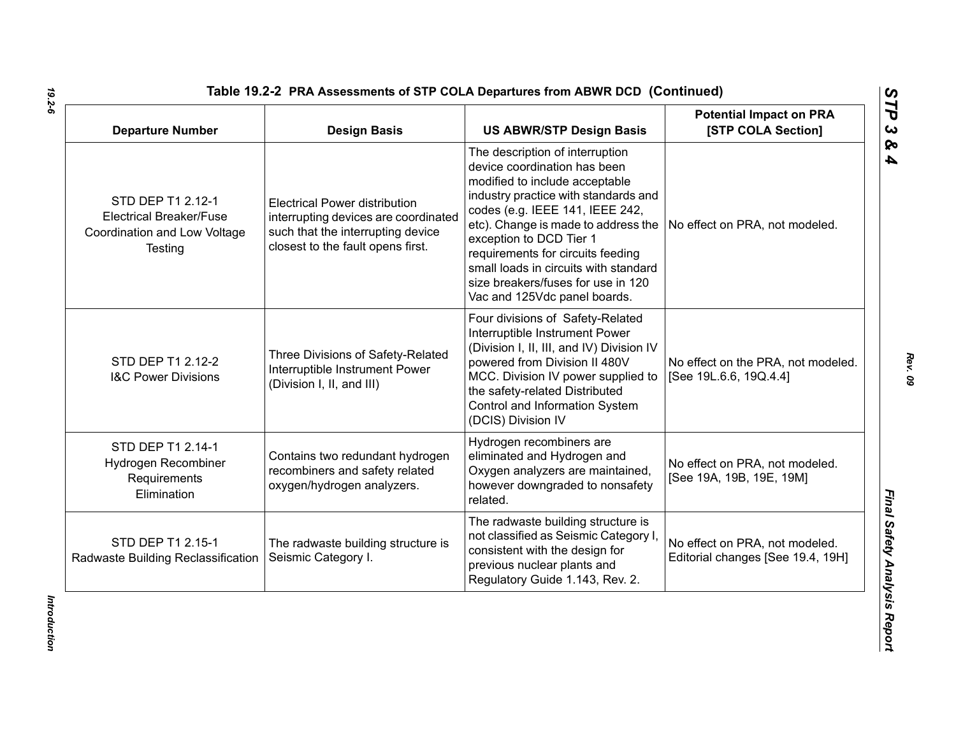| <b>Departure Number</b>                                                                        | <b>Design Basis</b>                                                                                                                                    | <b>US ABWR/STP Design Basis</b>                                                                                                                                                                                                                                                                                                                                                                    | <b>Potential Impact on PRA</b><br>[STP COLA Section]                |
|------------------------------------------------------------------------------------------------|--------------------------------------------------------------------------------------------------------------------------------------------------------|----------------------------------------------------------------------------------------------------------------------------------------------------------------------------------------------------------------------------------------------------------------------------------------------------------------------------------------------------------------------------------------------------|---------------------------------------------------------------------|
| STD DEP T1 2.12-1<br><b>Electrical Breaker/Fuse</b><br>Coordination and Low Voltage<br>Testing | <b>Electrical Power distribution</b><br>interrupting devices are coordinated<br>such that the interrupting device<br>closest to the fault opens first. | The description of interruption<br>device coordination has been<br>modified to include acceptable<br>industry practice with standards and<br>codes (e.g. IEEE 141, IEEE 242,<br>etc). Change is made to address the<br>exception to DCD Tier 1<br>requirements for circuits feeding<br>small loads in circuits with standard<br>size breakers/fuses for use in 120<br>Vac and 125Vdc panel boards. | No effect on PRA, not modeled.                                      |
| STD DEP T1 2.12-2<br><b>I&amp;C Power Divisions</b>                                            | Three Divisions of Safety-Related<br>Interruptible Instrument Power<br>(Division I, II, and III)                                                       | Four divisions of Safety-Related<br>Interruptible Instrument Power<br>(Division I, II, III, and IV) Division IV<br>powered from Division II 480V<br>MCC. Division IV power supplied to<br>the safety-related Distributed<br>Control and Information System<br>(DCIS) Division IV                                                                                                                   | No effect on the PRA, not modeled.<br>[See 19L.6.6, 19Q.4.4]        |
| STD DEP T1 2.14-1<br>Hydrogen Recombiner<br>Requirements<br>Elimination                        | Contains two redundant hydrogen<br>recombiners and safety related<br>oxygen/hydrogen analyzers.                                                        | Hydrogen recombiners are<br>eliminated and Hydrogen and<br>Oxygen analyzers are maintained,<br>however downgraded to nonsafety<br>related.                                                                                                                                                                                                                                                         | No effect on PRA, not modeled.<br>[See 19A, 19B, 19E, 19M]          |
| STD DEP T1 2.15-1<br>Radwaste Building Reclassification                                        | The radwaste building structure is<br>Seismic Category I.                                                                                              | The radwaste building structure is<br>not classified as Seismic Category I<br>consistent with the design for<br>previous nuclear plants and<br>Regulatory Guide 1.143, Rev. 2.                                                                                                                                                                                                                     | No effect on PRA, not modeled.<br>Editorial changes [See 19.4, 19H] |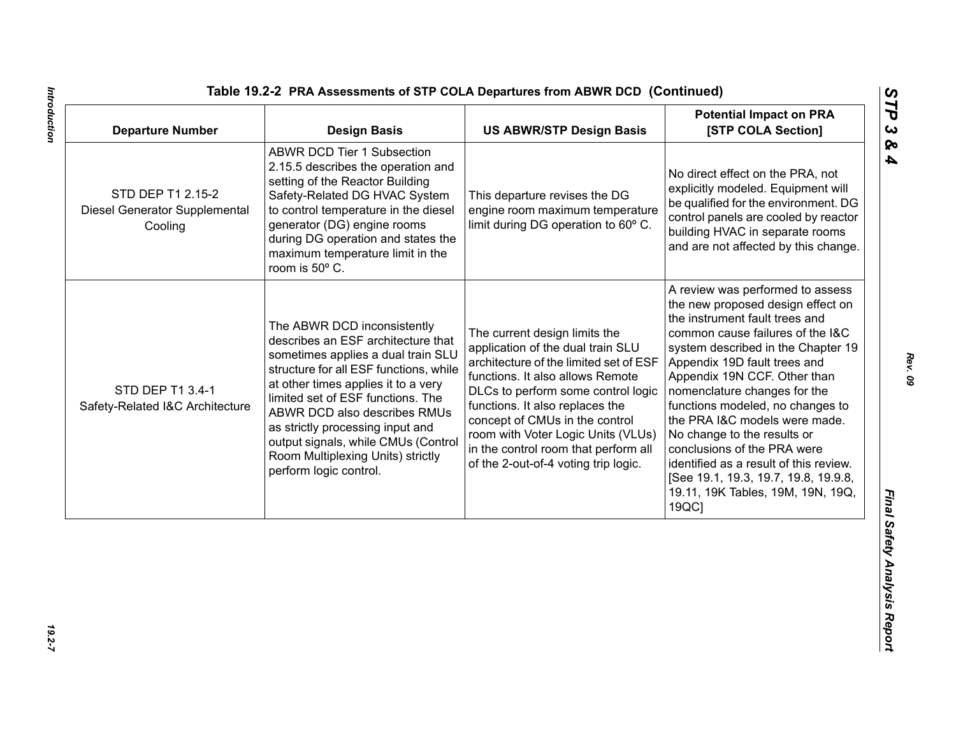| <b>ABWR DCD Tier 1 Subsection</b><br>2.15.5 describes the operation and<br>No direct effect on the PRA, not<br>setting of the Reactor Building<br>STD DEP T1 2.15-2<br>Safety-Related DG HVAC System<br>This departure revises the DG<br>to control temperature in the diesel<br>engine room maximum temperature<br>Diesel Generator Supplemental<br>limit during DG operation to 60° C.<br>generator (DG) engine rooms<br>Cooling<br>during DG operation and states the<br>maximum temperature limit in the<br>room is 50° C.<br>the instrument fault trees and<br>The ABWR DCD inconsistently<br>The current design limits the<br>describes an ESF architecture that<br>application of the dual train SLU<br>sometimes applies a dual train SLU<br>architecture of the limited set of ESF<br>Appendix 19D fault trees and<br>structure for all ESF functions, while<br>functions. It also allows Remote<br>Appendix 19N CCF. Other than<br>at other times applies it to a very<br>STD DEP T1 3.4-1<br>DLCs to perform some control logic<br>nomenclature changes for the<br>limited set of ESF functions. The<br>functions. It also replaces the<br>Safety-Related I&C Architecture<br>ABWR DCD also describes RMUs<br>concept of CMUs in the control<br>as strictly processing input and<br>room with Voter Logic Units (VLUs)<br>No change to the results or<br>output signals, while CMUs (Control<br>in the control room that perform all<br>conclusions of the PRA were<br>Room Multiplexing Units) strictly<br>of the 2-out-of-4 voting trip logic.<br>perform logic control. | <b>Departure Number</b> | <b>Design Basis</b> | <b>US ABWR/STP Design Basis</b> | <b>Potential Impact on PRA</b><br>[STP COLA Section]                                                                                                                                                                                                                                                                                        |
|---------------------------------------------------------------------------------------------------------------------------------------------------------------------------------------------------------------------------------------------------------------------------------------------------------------------------------------------------------------------------------------------------------------------------------------------------------------------------------------------------------------------------------------------------------------------------------------------------------------------------------------------------------------------------------------------------------------------------------------------------------------------------------------------------------------------------------------------------------------------------------------------------------------------------------------------------------------------------------------------------------------------------------------------------------------------------------------------------------------------------------------------------------------------------------------------------------------------------------------------------------------------------------------------------------------------------------------------------------------------------------------------------------------------------------------------------------------------------------------------------------------------------------------------------------------------------------------|-------------------------|---------------------|---------------------------------|---------------------------------------------------------------------------------------------------------------------------------------------------------------------------------------------------------------------------------------------------------------------------------------------------------------------------------------------|
|                                                                                                                                                                                                                                                                                                                                                                                                                                                                                                                                                                                                                                                                                                                                                                                                                                                                                                                                                                                                                                                                                                                                                                                                                                                                                                                                                                                                                                                                                                                                                                                       |                         |                     |                                 | explicitly modeled. Equipment will<br>be qualified for the environment. DG<br>control panels are cooled by reactor<br>building HVAC in separate rooms<br>and are not affected by this change.                                                                                                                                               |
| 19QC]                                                                                                                                                                                                                                                                                                                                                                                                                                                                                                                                                                                                                                                                                                                                                                                                                                                                                                                                                                                                                                                                                                                                                                                                                                                                                                                                                                                                                                                                                                                                                                                 |                         |                     |                                 | A review was performed to assess<br>the new proposed design effect on<br>common cause failures of the I&C<br>system described in the Chapter 19<br>functions modeled, no changes to<br>the PRA I&C models were made.<br>identified as a result of this review.<br>[See 19.1, 19.3, 19.7, 19.8, 19.9.8,<br>19.11, 19K Tables, 19M, 19N, 19Q, |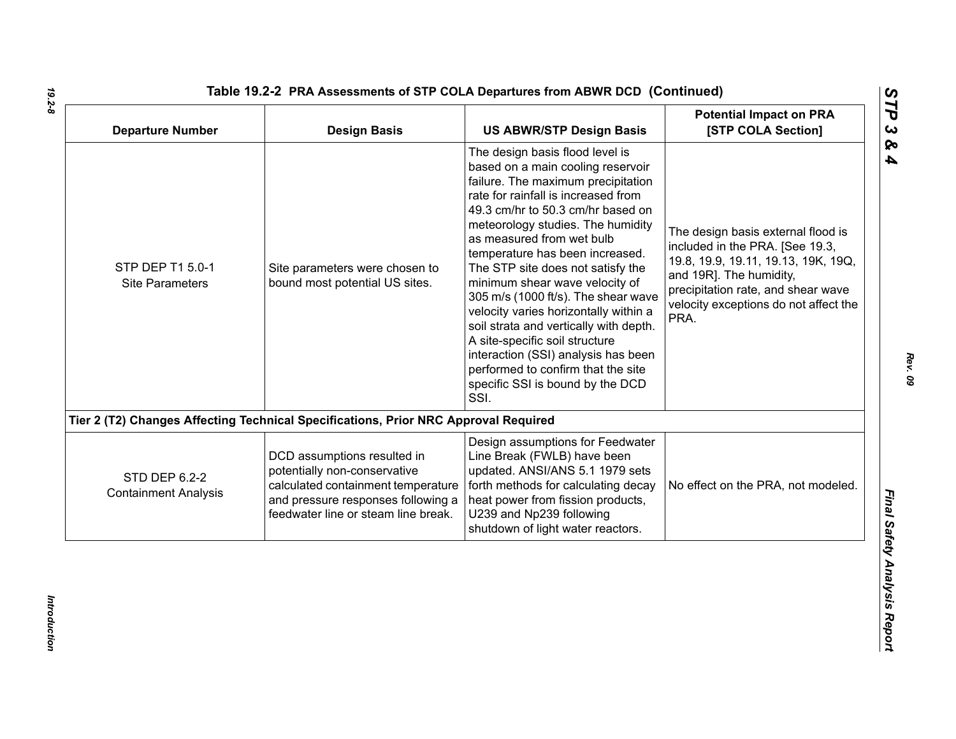| <b>Departure Number</b>                      | <b>Design Basis</b>                                                                                                                                                            | <b>US ABWR/STP Design Basis</b>                                                                                                                                                                                                                                                                                                                                                                                                                                                                                                                                                                                                                         | <b>Potential Impact on PRA</b><br>[STP COLA Section]                                                                                                                                                                           |
|----------------------------------------------|--------------------------------------------------------------------------------------------------------------------------------------------------------------------------------|---------------------------------------------------------------------------------------------------------------------------------------------------------------------------------------------------------------------------------------------------------------------------------------------------------------------------------------------------------------------------------------------------------------------------------------------------------------------------------------------------------------------------------------------------------------------------------------------------------------------------------------------------------|--------------------------------------------------------------------------------------------------------------------------------------------------------------------------------------------------------------------------------|
| STP DEP T1 5.0-1<br><b>Site Parameters</b>   | Site parameters were chosen to<br>bound most potential US sites.                                                                                                               | The design basis flood level is<br>based on a main cooling reservoir<br>failure. The maximum precipitation<br>rate for rainfall is increased from<br>49.3 cm/hr to 50.3 cm/hr based on<br>meteorology studies. The humidity<br>as measured from wet bulb<br>temperature has been increased.<br>The STP site does not satisfy the<br>minimum shear wave velocity of<br>305 m/s (1000 ft/s). The shear wave<br>velocity varies horizontally within a<br>soil strata and vertically with depth.<br>A site-specific soil structure<br>interaction (SSI) analysis has been<br>performed to confirm that the site<br>specific SSI is bound by the DCD<br>SSI. | The design basis external flood is<br>included in the PRA. [See 19.3,<br>19.8, 19.9, 19.11, 19.13, 19K, 19Q,<br>and 19R]. The humidity,<br>precipitation rate, and shear wave<br>velocity exceptions do not affect the<br>PRA. |
|                                              | Tier 2 (T2) Changes Affecting Technical Specifications, Prior NRC Approval Required                                                                                            |                                                                                                                                                                                                                                                                                                                                                                                                                                                                                                                                                                                                                                                         |                                                                                                                                                                                                                                |
| STD DEP 6.2-2<br><b>Containment Analysis</b> | DCD assumptions resulted in<br>potentially non-conservative<br>calculated containment temperature<br>and pressure responses following a<br>feedwater line or steam line break. | Design assumptions for Feedwater<br>Line Break (FWLB) have been<br>updated. ANSI/ANS 5.1 1979 sets<br>forth methods for calculating decay<br>heat power from fission products,<br>U239 and Np239 following<br>shutdown of light water reactors.                                                                                                                                                                                                                                                                                                                                                                                                         | No effect on the PRA, not modeled.                                                                                                                                                                                             |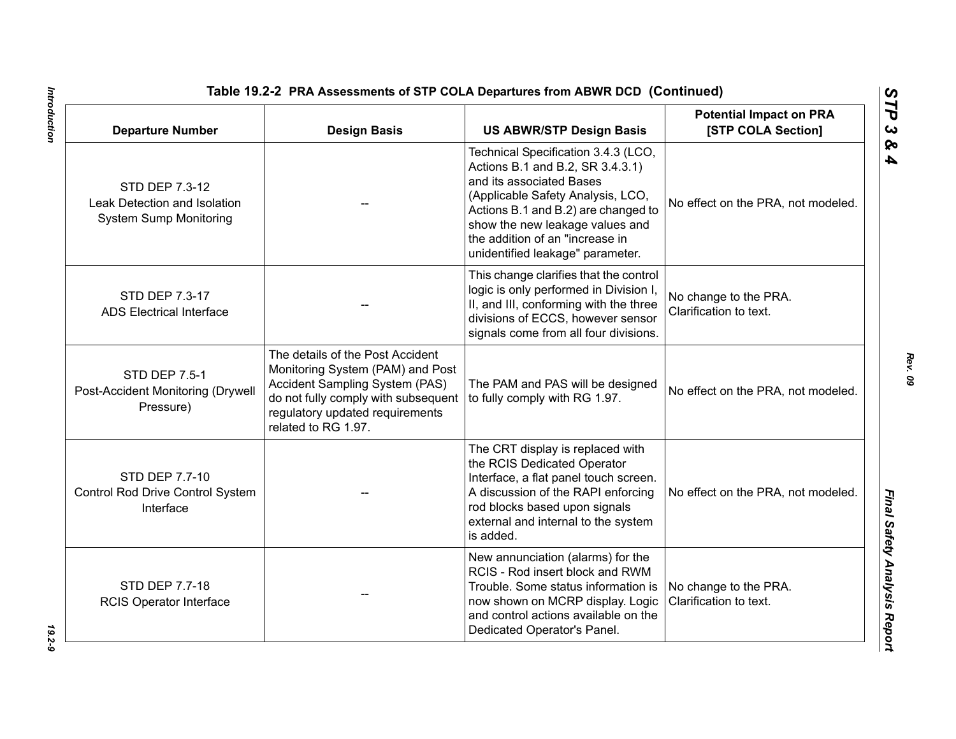| <b>Departure Number</b>                                                         | <b>Design Basis</b>                                                                                                                                                                                     | Table 19.2-2 PRA Assessments of STP COLA Departures from ABWR DCD (Continued)<br><b>US ABWR/STP Design Basis</b>                                                                                                                                                                          | <b>Potential Impact on PRA</b><br>[STP COLA Section] |
|---------------------------------------------------------------------------------|---------------------------------------------------------------------------------------------------------------------------------------------------------------------------------------------------------|-------------------------------------------------------------------------------------------------------------------------------------------------------------------------------------------------------------------------------------------------------------------------------------------|------------------------------------------------------|
| STD DEP 7.3-12<br>Leak Detection and Isolation<br><b>System Sump Monitoring</b> |                                                                                                                                                                                                         | Technical Specification 3.4.3 (LCO,<br>Actions B.1 and B.2, SR 3.4.3.1)<br>and its associated Bases<br>(Applicable Safety Analysis, LCO,<br>Actions B.1 and B.2) are changed to<br>show the new leakage values and<br>the addition of an "increase in<br>unidentified leakage" parameter. | No effect on the PRA, not modeled.                   |
| STD DEP 7.3-17<br><b>ADS Electrical Interface</b>                               |                                                                                                                                                                                                         | This change clarifies that the control<br>logic is only performed in Division I,<br>II, and III, conforming with the three<br>divisions of ECCS, however sensor<br>signals come from all four divisions.                                                                                  | No change to the PRA.<br>Clarification to text.      |
| <b>STD DEP 7.5-1</b><br>Post-Accident Monitoring (Drywell<br>Pressure)          | The details of the Post Accident<br>Monitoring System (PAM) and Post<br>Accident Sampling System (PAS)<br>do not fully comply with subsequent<br>regulatory updated requirements<br>related to RG 1.97. | The PAM and PAS will be designed<br>to fully comply with RG 1.97.                                                                                                                                                                                                                         | No effect on the PRA, not modeled.                   |
| STD DEP 7.7-10<br>Control Rod Drive Control System<br>Interface                 |                                                                                                                                                                                                         | The CRT display is replaced with<br>the RCIS Dedicated Operator<br>Interface, a flat panel touch screen.<br>A discussion of the RAPI enforcing<br>rod blocks based upon signals<br>external and internal to the system<br>is added.                                                       | No effect on the PRA, not modeled.                   |
| <b>STD DEP 7.7-18</b><br><b>RCIS Operator Interface</b>                         |                                                                                                                                                                                                         | New annunciation (alarms) for the<br>RCIS - Rod insert block and RWM<br>Trouble. Some status information is<br>now shown on MCRP display. Logic<br>and control actions available on the<br>Dedicated Operator's Panel.                                                                    | No change to the PRA.<br>Clarification to text.      |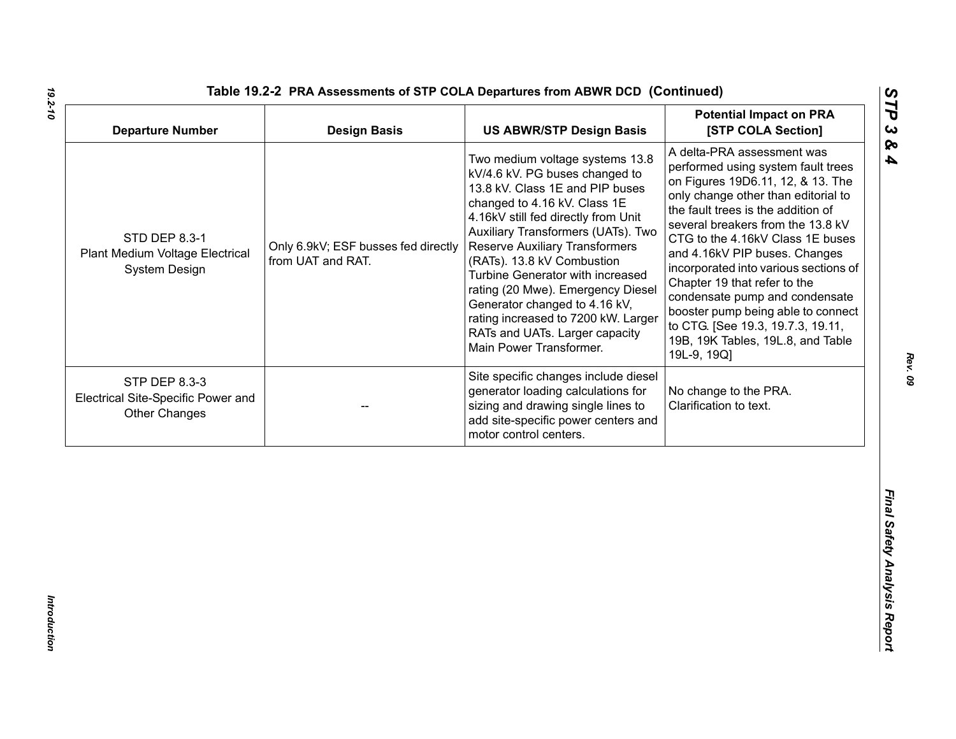| <b>Departure Number</b>                                                     | <b>Design Basis</b>                                      | <b>US ABWR/STP Design Basis</b>                                                                                                                                                                                                                                                                                                                                                                                                                                                                        | <b>Potential Impact on PRA</b><br>[STP COLA Section]                                                                                                                                                                                                                                                                                                                                                                                                                                                                                   |
|-----------------------------------------------------------------------------|----------------------------------------------------------|--------------------------------------------------------------------------------------------------------------------------------------------------------------------------------------------------------------------------------------------------------------------------------------------------------------------------------------------------------------------------------------------------------------------------------------------------------------------------------------------------------|----------------------------------------------------------------------------------------------------------------------------------------------------------------------------------------------------------------------------------------------------------------------------------------------------------------------------------------------------------------------------------------------------------------------------------------------------------------------------------------------------------------------------------------|
| STD DEP 8.3-1<br>Plant Medium Voltage Electrical<br>System Design           | Only 6.9kV; ESF busses fed directly<br>from UAT and RAT. | Two medium voltage systems 13.8<br>kV/4.6 kV. PG buses changed to<br>13.8 kV. Class 1E and PIP buses<br>changed to 4.16 kV. Class 1E<br>4.16kV still fed directly from Unit<br>Auxiliary Transformers (UATs). Two<br><b>Reserve Auxiliary Transformers</b><br>(RATs). 13.8 kV Combustion<br>Turbine Generator with increased<br>rating (20 Mwe). Emergency Diesel<br>Generator changed to 4.16 kV,<br>rating increased to 7200 kW. Larger<br>RATs and UATs. Larger capacity<br>Main Power Transformer. | A delta-PRA assessment was<br>performed using system fault trees<br>on Figures 19D6.11, 12, & 13. The<br>only change other than editorial to<br>the fault trees is the addition of<br>several breakers from the 13.8 kV<br>CTG to the 4.16kV Class 1E buses<br>and 4.16kV PIP buses. Changes<br>incorporated into various sections of<br>Chapter 19 that refer to the<br>condensate pump and condensate<br>booster pump being able to connect<br>to CTG. [See 19.3, 19.7.3, 19.11,<br>19B, 19K Tables, 19L.8, and Table<br>19L-9, 19Q] |
| STP DEP 8.3-3<br>Electrical Site-Specific Power and<br><b>Other Changes</b> |                                                          | Site specific changes include diesel<br>generator loading calculations for<br>sizing and drawing single lines to<br>add site-specific power centers and<br>motor control centers.                                                                                                                                                                                                                                                                                                                      | No change to the PRA.<br>Clarification to text.                                                                                                                                                                                                                                                                                                                                                                                                                                                                                        |
|                                                                             |                                                          |                                                                                                                                                                                                                                                                                                                                                                                                                                                                                                        |                                                                                                                                                                                                                                                                                                                                                                                                                                                                                                                                        |

*19.2-10*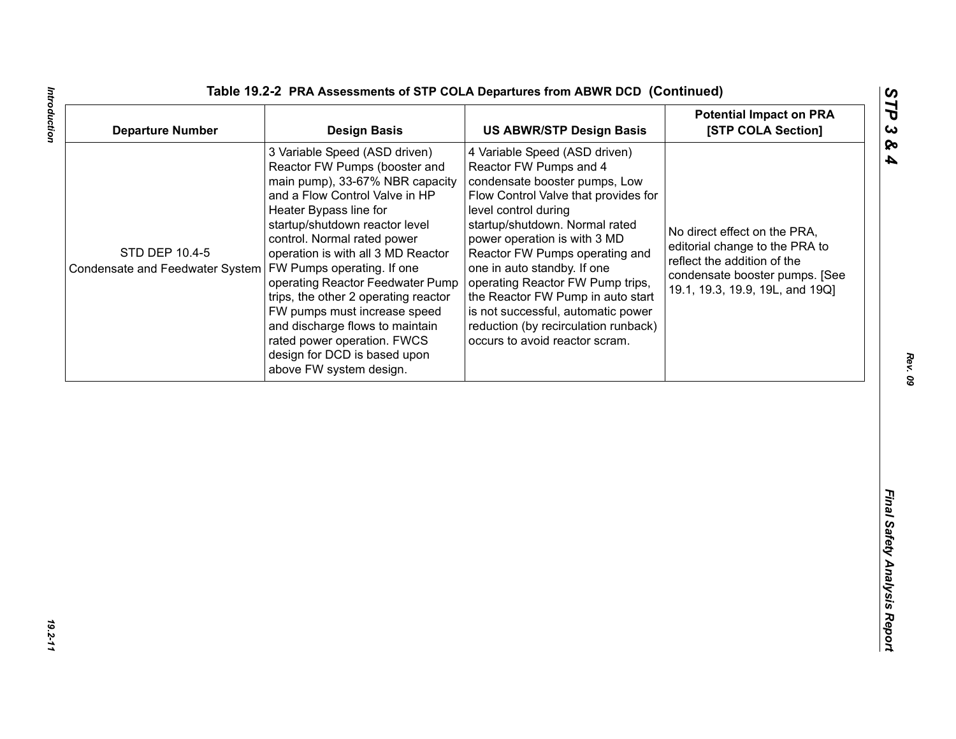| <b>Departure Number</b>                                                        | <b>Design Basis</b>                                                                                                                                                                                                                                                                                                                                                                                                                                                                                           | <b>US ABWR/STP Design Basis</b>                                                                                                                                                                                                                                                                                                                                                                                                                                                      | <b>Potential Impact on PRA</b><br>[STP COLA Section]                                                                                                               |
|--------------------------------------------------------------------------------|---------------------------------------------------------------------------------------------------------------------------------------------------------------------------------------------------------------------------------------------------------------------------------------------------------------------------------------------------------------------------------------------------------------------------------------------------------------------------------------------------------------|--------------------------------------------------------------------------------------------------------------------------------------------------------------------------------------------------------------------------------------------------------------------------------------------------------------------------------------------------------------------------------------------------------------------------------------------------------------------------------------|--------------------------------------------------------------------------------------------------------------------------------------------------------------------|
| STD DEP 10.4-5<br>Condensate and Feedwater System   FW Pumps operating. If one | 3 Variable Speed (ASD driven)<br>Reactor FW Pumps (booster and<br>main pump), 33-67% NBR capacity<br>and a Flow Control Valve in HP<br>Heater Bypass line for<br>startup/shutdown reactor level<br>control. Normal rated power<br>operation is with all 3 MD Reactor<br>operating Reactor Feedwater Pump<br>trips, the other 2 operating reactor<br>FW pumps must increase speed<br>and discharge flows to maintain<br>rated power operation. FWCS<br>design for DCD is based upon<br>above FW system design. | 4 Variable Speed (ASD driven)<br>Reactor FW Pumps and 4<br>condensate booster pumps, Low<br>Flow Control Valve that provides for<br>level control during<br>startup/shutdown. Normal rated<br>power operation is with 3 MD<br>Reactor FW Pumps operating and<br>one in auto standby. If one<br>operating Reactor FW Pump trips,<br>the Reactor FW Pump in auto start<br>is not successful, automatic power<br>reduction (by recirculation runback)<br>occurs to avoid reactor scram. | No direct effect on the PRA,<br>editorial change to the PRA to<br>reflect the addition of the<br>condensate booster pumps. [See<br>19.1, 19.3, 19.9, 19L, and 19Q] |
|                                                                                |                                                                                                                                                                                                                                                                                                                                                                                                                                                                                                               |                                                                                                                                                                                                                                                                                                                                                                                                                                                                                      |                                                                                                                                                                    |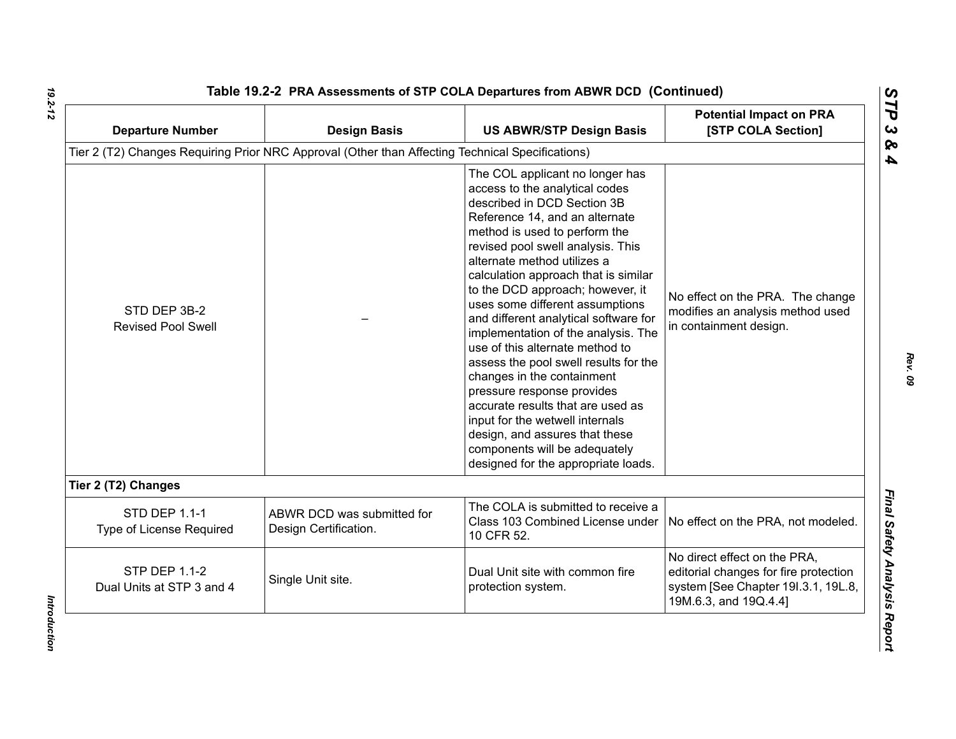| <b>Departure Number</b>                           | <b>Design Basis</b>                                                                              | <b>US ABWR/STP Design Basis</b>                                                                                                                                                                                                                                                                                                                                                                                                                                                                                                                                                                                                                                                                                                                                  | <b>Potential Impact on PRA</b><br>[STP COLA Section]                                                                                  |
|---------------------------------------------------|--------------------------------------------------------------------------------------------------|------------------------------------------------------------------------------------------------------------------------------------------------------------------------------------------------------------------------------------------------------------------------------------------------------------------------------------------------------------------------------------------------------------------------------------------------------------------------------------------------------------------------------------------------------------------------------------------------------------------------------------------------------------------------------------------------------------------------------------------------------------------|---------------------------------------------------------------------------------------------------------------------------------------|
|                                                   | Tier 2 (T2) Changes Requiring Prior NRC Approval (Other than Affecting Technical Specifications) |                                                                                                                                                                                                                                                                                                                                                                                                                                                                                                                                                                                                                                                                                                                                                                  |                                                                                                                                       |
| STD DEP 3B-2<br><b>Revised Pool Swell</b>         |                                                                                                  | The COL applicant no longer has<br>access to the analytical codes<br>described in DCD Section 3B<br>Reference 14, and an alternate<br>method is used to perform the<br>revised pool swell analysis. This<br>alternate method utilizes a<br>calculation approach that is similar<br>to the DCD approach; however, it<br>uses some different assumptions<br>and different analytical software for<br>implementation of the analysis. The<br>use of this alternate method to<br>assess the pool swell results for the<br>changes in the containment<br>pressure response provides<br>accurate results that are used as<br>input for the wetwell internals<br>design, and assures that these<br>components will be adequately<br>designed for the appropriate loads. | No effect on the PRA. The change<br>modifies an analysis method used<br>in containment design.                                        |
| Tier 2 (T2) Changes                               |                                                                                                  |                                                                                                                                                                                                                                                                                                                                                                                                                                                                                                                                                                                                                                                                                                                                                                  |                                                                                                                                       |
| <b>STD DEP 1.1-1</b><br>Type of License Required  | ABWR DCD was submitted for<br>Design Certification.                                              | The COLA is submitted to receive a<br>Class 103 Combined License under<br>10 CFR 52.                                                                                                                                                                                                                                                                                                                                                                                                                                                                                                                                                                                                                                                                             | No effect on the PRA, not modeled.                                                                                                    |
| <b>STP DEP 1.1-2</b><br>Dual Units at STP 3 and 4 | Single Unit site.                                                                                | Dual Unit site with common fire<br>protection system.                                                                                                                                                                                                                                                                                                                                                                                                                                                                                                                                                                                                                                                                                                            | No direct effect on the PRA,<br>editorial changes for fire protection<br>system [See Chapter 191.3.1, 19L.8,<br>19M.6.3, and 19Q.4.4] |

Introduction *Introduction*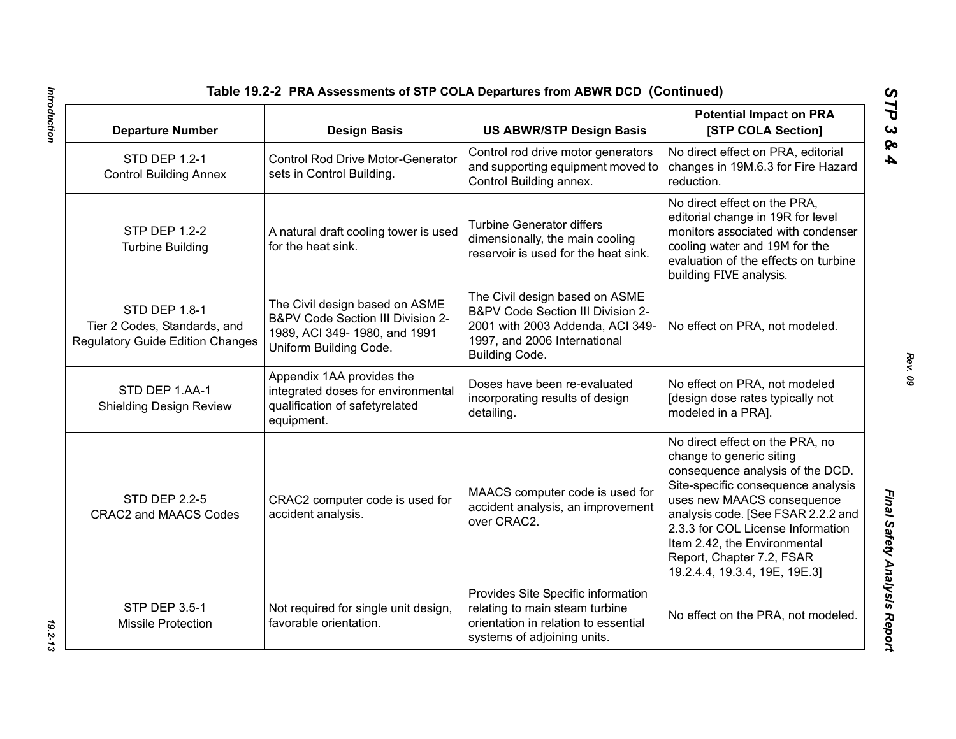| Table 19.2-2 PRA Assessments of STP COLA Departures from ABWR DCD (Continued)                                 |                                                                                                                               |                                                                                                                                                                                                                                                                                                                                              |                                                                                                                                                                                                             |
|---------------------------------------------------------------------------------------------------------------|-------------------------------------------------------------------------------------------------------------------------------|----------------------------------------------------------------------------------------------------------------------------------------------------------------------------------------------------------------------------------------------------------------------------------------------------------------------------------------------|-------------------------------------------------------------------------------------------------------------------------------------------------------------------------------------------------------------|
| <b>Departure Number</b>                                                                                       | <b>Design Basis</b>                                                                                                           | <b>US ABWR/STP Design Basis</b>                                                                                                                                                                                                                                                                                                              | <b>Potential Impact on PRA</b><br>[STP COLA Section]                                                                                                                                                        |
| STD DEP 1.2-1<br><b>Control Building Annex</b>                                                                | <b>Control Rod Drive Motor-Generator</b><br>sets in Control Building.                                                         | Control rod drive motor generators<br>and supporting equipment moved to<br>Control Building annex.                                                                                                                                                                                                                                           | No direct effect on PRA, editorial<br>changes in 19M.6.3 for Fire Hazard<br>reduction.                                                                                                                      |
| <b>STP DEP 1.2-2</b><br><b>Turbine Building</b>                                                               | A natural draft cooling tower is used<br>for the heat sink.                                                                   | <b>Turbine Generator differs</b><br>dimensionally, the main cooling<br>reservoir is used for the heat sink.                                                                                                                                                                                                                                  | No direct effect on the PRA,<br>editorial change in 19R for level<br>monitors associated with condenser<br>cooling water and 19M for the<br>evaluation of the effects on turbine<br>building FIVE analysis. |
| STD DEP 1.8-1<br>Tier 2 Codes, Standards, and<br><b>Regulatory Guide Edition Changes</b>                      | The Civil design based on ASME<br>B&PV Code Section III Division 2-<br>1989, ACI 349-1980, and 1991<br>Uniform Building Code. | The Civil design based on ASME<br>B&PV Code Section III Division 2-<br>2001 with 2003 Addenda, ACI 349-<br>1997, and 2006 International<br>Building Code.                                                                                                                                                                                    | No effect on PRA, not modeled.                                                                                                                                                                              |
| STD DEP 1.AA-1<br><b>Shielding Design Review</b>                                                              | Appendix 1AA provides the<br>integrated doses for environmental<br>qualification of safetyrelated<br>equipment.               | Doses have been re-evaluated<br>incorporating results of design<br>detailing.                                                                                                                                                                                                                                                                | No effect on PRA, not modeled<br>[design dose rates typically not<br>modeled in a PRA].                                                                                                                     |
| <b>STD DEP 2.2-5</b><br>CRAC2 computer code is used for<br>accident analysis.<br><b>CRAC2 and MAACS Codes</b> | MAACS computer code is used for<br>accident analysis, an improvement<br>over CRAC2.                                           | No direct effect on the PRA, no<br>change to generic siting<br>consequence analysis of the DCD.<br>Site-specific consequence analysis<br>uses new MAACS consequence<br>analysis code. [See FSAR 2.2.2 and<br>2.3.3 for COL License Information<br>Item 2.42, the Environmental<br>Report, Chapter 7.2, FSAR<br>19.2.4.4, 19.3.4, 19E, 19E.3] |                                                                                                                                                                                                             |
| <b>STP DEP 3.5-1</b><br><b>Missile Protection</b>                                                             | Not required for single unit design,<br>favorable orientation.                                                                | Provides Site Specific information<br>relating to main steam turbine<br>orientation in relation to essential<br>systems of adjoining units.                                                                                                                                                                                                  | No effect on the PRA, not modeled.                                                                                                                                                                          |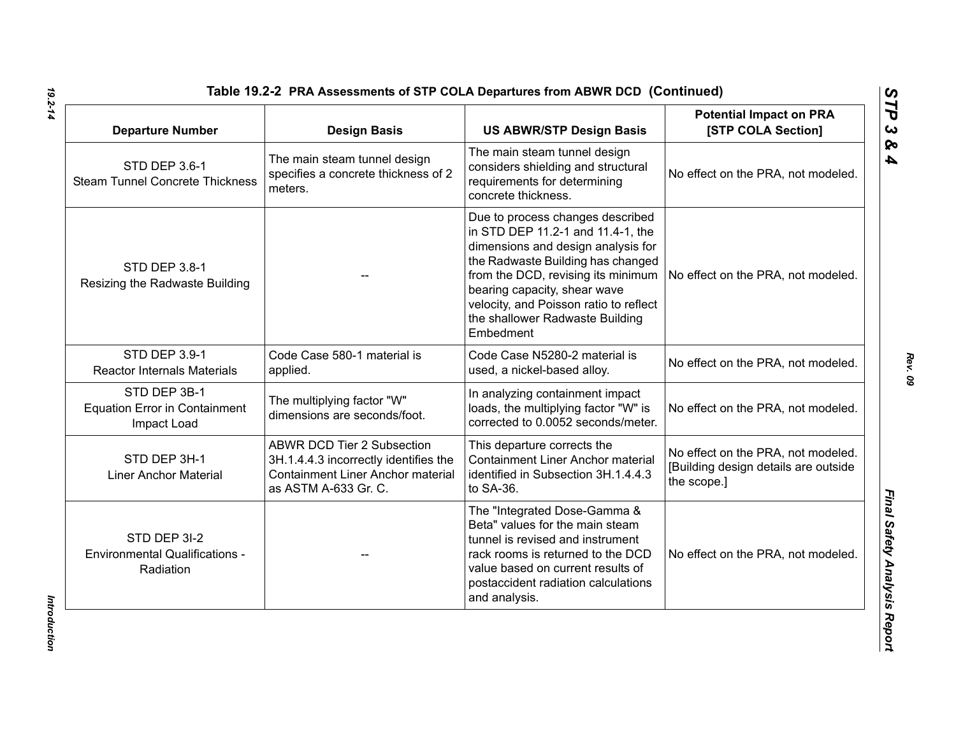| <b>Departure Number</b>                                             | <b>Design Basis</b>                                                                                                                            | <b>US ABWR/STP Design Basis</b>                                                                                                                                                                                                                                                                                  | <b>Potential Impact on PRA</b><br>[STP COLA Section]                                      |
|---------------------------------------------------------------------|------------------------------------------------------------------------------------------------------------------------------------------------|------------------------------------------------------------------------------------------------------------------------------------------------------------------------------------------------------------------------------------------------------------------------------------------------------------------|-------------------------------------------------------------------------------------------|
| <b>STD DEP 3.6-1</b><br><b>Steam Tunnel Concrete Thickness</b>      | The main steam tunnel design<br>specifies a concrete thickness of 2<br>meters.                                                                 | The main steam tunnel design<br>considers shielding and structural<br>requirements for determining<br>concrete thickness.                                                                                                                                                                                        | No effect on the PRA, not modeled.                                                        |
| STD DEP 3.8-1<br>Resizing the Radwaste Building                     |                                                                                                                                                | Due to process changes described<br>in STD DEP 11.2-1 and 11.4-1, the<br>dimensions and design analysis for<br>the Radwaste Building has changed<br>from the DCD, revising its minimum<br>bearing capacity, shear wave<br>velocity, and Poisson ratio to reflect<br>the shallower Radwaste Building<br>Embedment | No effect on the PRA, not modeled.                                                        |
| STD DEP 3.9-1<br><b>Reactor Internals Materials</b>                 | Code Case 580-1 material is<br>applied.                                                                                                        | Code Case N5280-2 material is<br>used, a nickel-based alloy.                                                                                                                                                                                                                                                     | No effect on the PRA, not modeled.                                                        |
| STD DEP 3B-1<br><b>Equation Error in Containment</b><br>Impact Load | The multiplying factor "W"<br>dimensions are seconds/foot.                                                                                     | In analyzing containment impact<br>loads, the multiplying factor "W" is<br>corrected to 0.0052 seconds/meter.                                                                                                                                                                                                    | No effect on the PRA, not modeled.                                                        |
| STD DEP 3H-1<br><b>Liner Anchor Material</b>                        | <b>ABWR DCD Tier 2 Subsection</b><br>3H.1.4.4.3 incorrectly identifies the<br><b>Containment Liner Anchor material</b><br>as ASTM A-633 Gr. C. | This departure corrects the<br><b>Containment Liner Anchor material</b><br>identified in Subsection 3H.1.4.4.3<br>to SA-36.                                                                                                                                                                                      | No effect on the PRA, not modeled.<br>[Building design details are outside<br>the scope.] |
| STD DEP 3I-2<br><b>Environmental Qualifications -</b><br>Radiation  |                                                                                                                                                | The "Integrated Dose-Gamma &<br>Beta" values for the main steam<br>tunnel is revised and instrument<br>rack rooms is returned to the DCD<br>value based on current results of<br>postaccident radiation calculations<br>and analysis.                                                                            | No effect on the PRA, not modeled.                                                        |

Introduction *Introduction*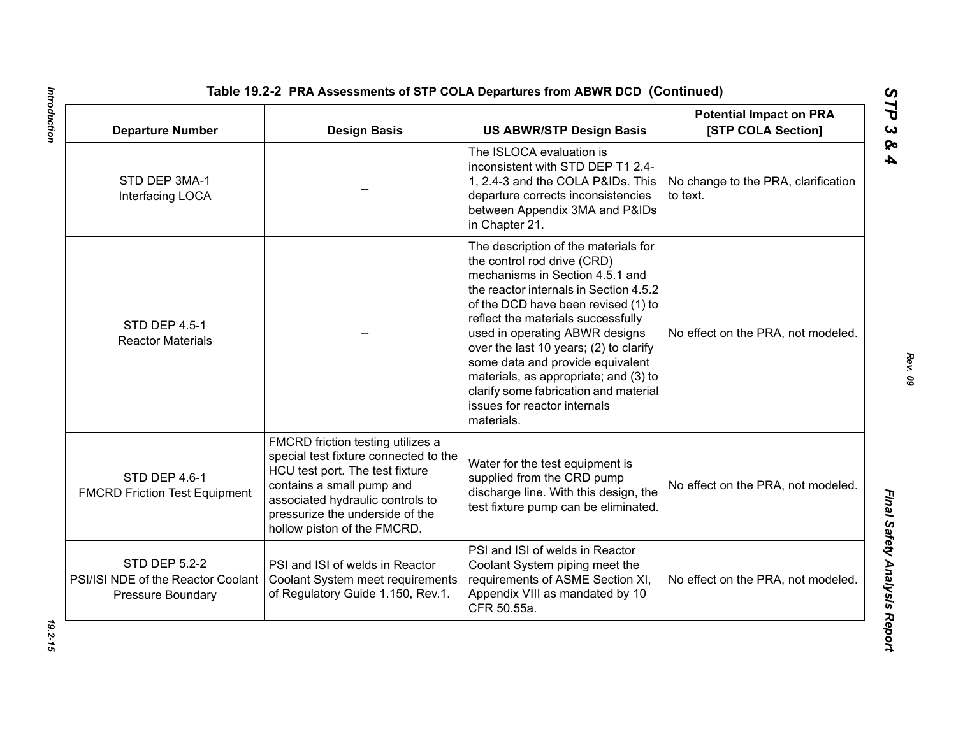| <b>Departure Number</b>                                                                | <b>Design Basis</b>                                                                                                                                                                                                                              | <b>US ABWR/STP Design Basis</b>                                                                                                                                                                                                                                                                                                                                                                                                                                               | <b>Potential Impact on PRA</b><br>[STP COLA Section] |
|----------------------------------------------------------------------------------------|--------------------------------------------------------------------------------------------------------------------------------------------------------------------------------------------------------------------------------------------------|-------------------------------------------------------------------------------------------------------------------------------------------------------------------------------------------------------------------------------------------------------------------------------------------------------------------------------------------------------------------------------------------------------------------------------------------------------------------------------|------------------------------------------------------|
| STD DEP 3MA-1<br>Interfacing LOCA                                                      |                                                                                                                                                                                                                                                  | The ISLOCA evaluation is<br>inconsistent with STD DEP T1 2.4-<br>1, 2.4-3 and the COLA P&IDs. This<br>departure corrects inconsistencies<br>between Appendix 3MA and P&IDs<br>in Chapter 21.                                                                                                                                                                                                                                                                                  | No change to the PRA, clarification<br>to text.      |
| <b>STD DEP 4.5-1</b><br><b>Reactor Materials</b>                                       |                                                                                                                                                                                                                                                  | The description of the materials for<br>the control rod drive (CRD)<br>mechanisms in Section 4.5.1 and<br>the reactor internals in Section 4.5.2<br>of the DCD have been revised (1) to<br>reflect the materials successfully<br>used in operating ABWR designs<br>over the last 10 years; (2) to clarify<br>some data and provide equivalent<br>materials, as appropriate; and (3) to<br>clarify some fabrication and material<br>issues for reactor internals<br>materials. | No effect on the PRA, not modeled.                   |
| STD DEP 4.6-1<br><b>FMCRD Friction Test Equipment</b>                                  | FMCRD friction testing utilizes a<br>special test fixture connected to the<br>HCU test port. The test fixture<br>contains a small pump and<br>associated hydraulic controls to<br>pressurize the underside of the<br>hollow piston of the FMCRD. | Water for the test equipment is<br>supplied from the CRD pump<br>discharge line. With this design, the<br>test fixture pump can be eliminated.                                                                                                                                                                                                                                                                                                                                | No effect on the PRA, not modeled.                   |
| <b>STD DEP 5.2-2</b><br>PSI/ISI NDE of the Reactor Coolant<br><b>Pressure Boundary</b> | PSI and ISI of welds in Reactor<br>Coolant System meet requirements<br>of Regulatory Guide 1.150, Rev.1.                                                                                                                                         | PSI and ISI of welds in Reactor<br>Coolant System piping meet the<br>requirements of ASME Section XI,<br>Appendix VIII as mandated by 10<br>CFR 50.55a.                                                                                                                                                                                                                                                                                                                       | No effect on the PRA, not modeled.                   |

*Rev. 09*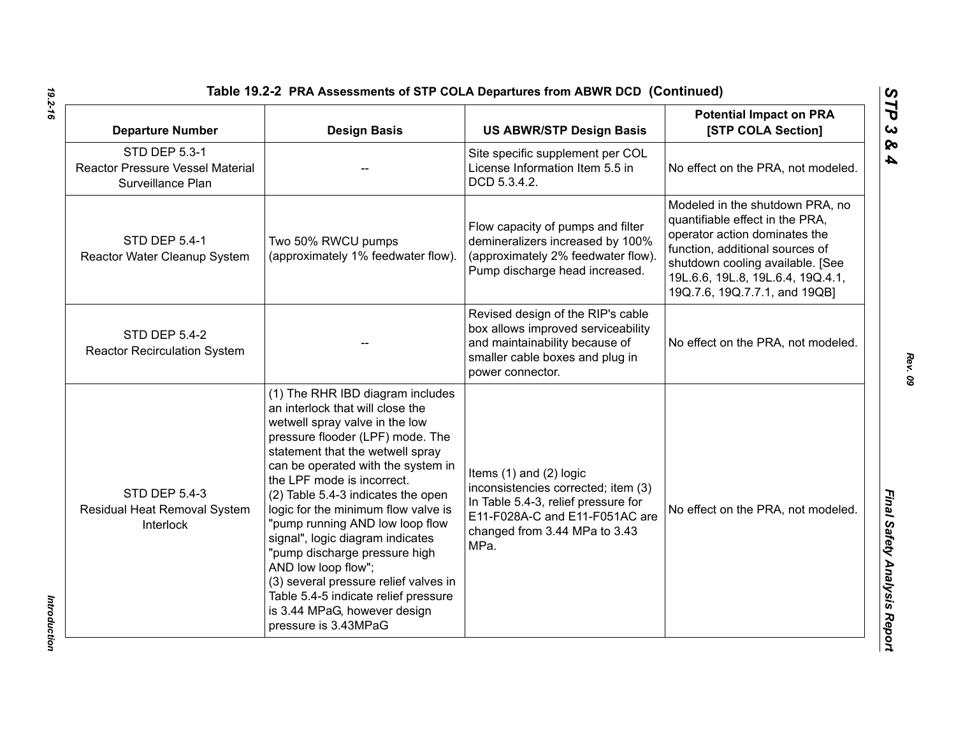| <b>Departure Number</b>                                                              | <b>Design Basis</b>                                                                                                                                                                                                                                                                                                                                                                                                                                                                                                                                                                                     | <b>US ABWR/STP Design Basis</b>                                                                                                                                                      | <b>Potential Impact on PRA</b><br>[STP COLA Section]                                                                                                                                                                                             |
|--------------------------------------------------------------------------------------|---------------------------------------------------------------------------------------------------------------------------------------------------------------------------------------------------------------------------------------------------------------------------------------------------------------------------------------------------------------------------------------------------------------------------------------------------------------------------------------------------------------------------------------------------------------------------------------------------------|--------------------------------------------------------------------------------------------------------------------------------------------------------------------------------------|--------------------------------------------------------------------------------------------------------------------------------------------------------------------------------------------------------------------------------------------------|
| <b>STD DEP 5.3-1</b><br><b>Reactor Pressure Vessel Material</b><br>Surveillance Plan |                                                                                                                                                                                                                                                                                                                                                                                                                                                                                                                                                                                                         | Site specific supplement per COL<br>License Information Item 5.5 in<br>DCD 5.3.4.2.                                                                                                  | No effect on the PRA, not modeled.                                                                                                                                                                                                               |
| <b>STD DEP 5.4-1</b><br>Reactor Water Cleanup System                                 | Two 50% RWCU pumps<br>(approximately 1% feedwater flow).                                                                                                                                                                                                                                                                                                                                                                                                                                                                                                                                                | Flow capacity of pumps and filter<br>demineralizers increased by 100%<br>(approximately 2% feedwater flow).<br>Pump discharge head increased.                                        | Modeled in the shutdown PRA, no<br>quantifiable effect in the PRA,<br>operator action dominates the<br>function, additional sources of<br>shutdown cooling available. [See<br>19L.6.6, 19L.8, 19L.6.4, 19Q.4.1,<br>19Q.7.6, 19Q.7.7.1, and 19QB] |
| <b>STD DEP 5.4-2</b><br><b>Reactor Recirculation System</b>                          |                                                                                                                                                                                                                                                                                                                                                                                                                                                                                                                                                                                                         | Revised design of the RIP's cable<br>box allows improved serviceability<br>and maintainability because of<br>smaller cable boxes and plug in<br>power connector.                     | No effect on the PRA, not modeled.                                                                                                                                                                                                               |
| <b>STD DEP 5.4-3</b><br>Residual Heat Removal System<br>Interlock                    | (1) The RHR IBD diagram includes<br>an interlock that will close the<br>wetwell spray valve in the low<br>pressure flooder (LPF) mode. The<br>statement that the wetwell spray<br>can be operated with the system in<br>the LPF mode is incorrect.<br>(2) Table 5.4-3 indicates the open<br>logic for the minimum flow valve is<br>"pump running AND low loop flow<br>signal", logic diagram indicates<br>"pump discharge pressure high<br>AND low loop flow";<br>(3) several pressure relief valves in<br>Table 5.4-5 indicate relief pressure<br>is 3.44 MPaG, however design<br>pressure is 3.43MPaG | Items $(1)$ and $(2)$ logic<br>inconsistencies corrected; item (3)<br>In Table 5.4-3, relief pressure for<br>E11-F028A-C and E11-F051AC are<br>changed from 3.44 MPa to 3.43<br>MPa. | No effect on the PRA, not modeled.                                                                                                                                                                                                               |

Introduction *Introduction*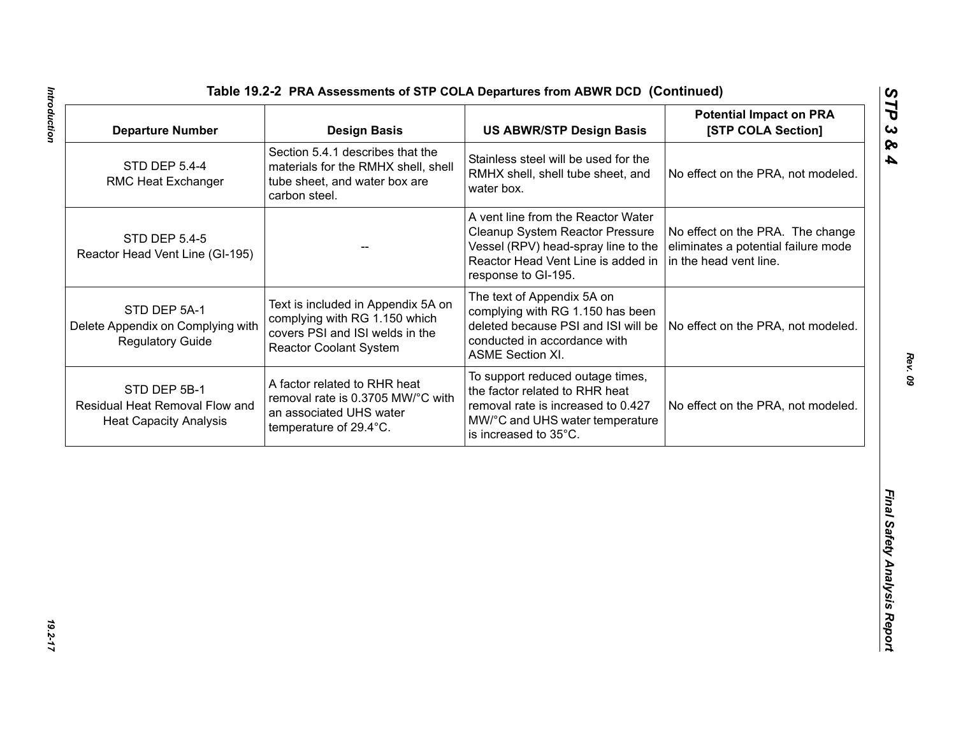| <b>Departure Number</b>                                                         | <b>Design Basis</b>                                                                                                                     | <b>US ABWR/STP Design Basis</b>                                                                                                                                           | <b>Potential Impact on PRA</b><br>[STP COLA Section]                                              |
|---------------------------------------------------------------------------------|-----------------------------------------------------------------------------------------------------------------------------------------|---------------------------------------------------------------------------------------------------------------------------------------------------------------------------|---------------------------------------------------------------------------------------------------|
| <b>STD DEP 5.4-4</b><br>RMC Heat Exchanger                                      | Section 5.4.1 describes that the<br>materials for the RMHX shell, shell<br>tube sheet, and water box are<br>carbon steel.               | Stainless steel will be used for the<br>RMHX shell, shell tube sheet, and<br>water box.                                                                                   | No effect on the PRA, not modeled.                                                                |
| <b>STD DEP 5.4-5</b><br>Reactor Head Vent Line (GI-195)                         |                                                                                                                                         | A vent line from the Reactor Water<br>Cleanup System Reactor Pressure<br>Vessel (RPV) head-spray line to the<br>Reactor Head Vent Line is added in<br>response to GI-195. | No effect on the PRA. The change<br>eliminates a potential failure mode<br>in the head vent line. |
| STD DEP 5A-1<br>Delete Appendix on Complying with<br><b>Regulatory Guide</b>    | Text is included in Appendix 5A on<br>complying with RG 1.150 which<br>covers PSI and ISI welds in the<br><b>Reactor Coolant System</b> | The text of Appendix 5A on<br>complying with RG 1.150 has been<br>deleted because PSI and ISI will be<br>conducted in accordance with<br><b>ASME Section XI.</b>          | No effect on the PRA, not modeled.                                                                |
| STD DEP 5B-1<br>Residual Heat Removal Flow and<br><b>Heat Capacity Analysis</b> | A factor related to RHR heat<br>removal rate is 0.3705 MW/°C with<br>an associated UHS water<br>temperature of 29.4°C.                  | To support reduced outage times,<br>the factor related to RHR heat<br>removal rate is increased to 0.427<br>MW/°C and UHS water temperature<br>is increased to 35°C.      | No effect on the PRA, not modeled.                                                                |
|                                                                                 |                                                                                                                                         |                                                                                                                                                                           |                                                                                                   |
|                                                                                 |                                                                                                                                         |                                                                                                                                                                           |                                                                                                   |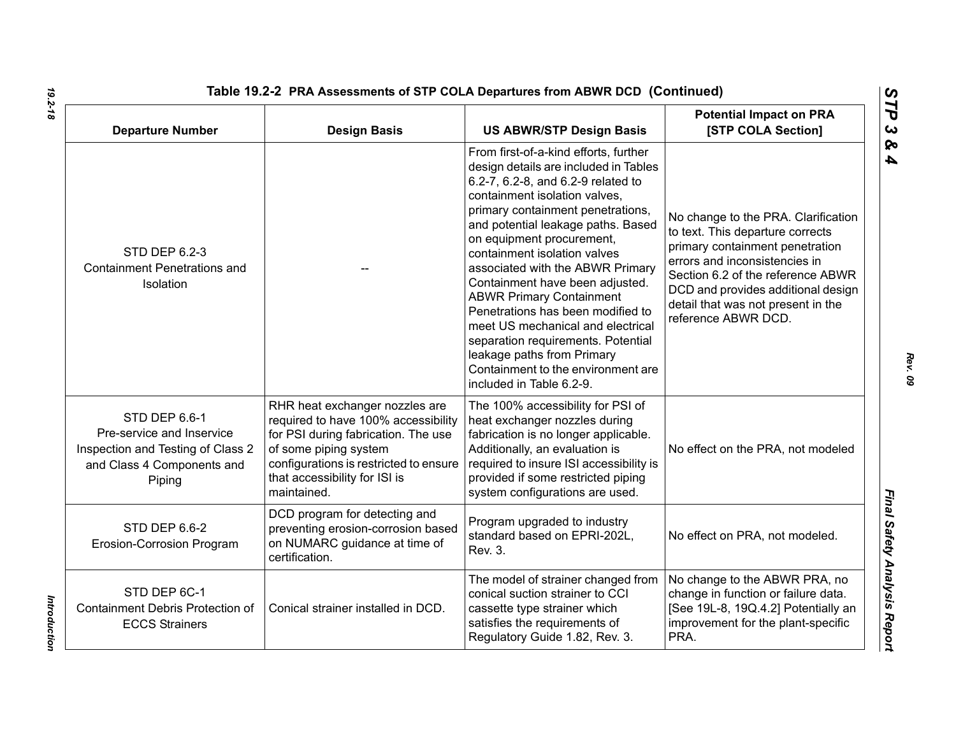| Table 19.2-2 PRA Assessments of STP COLA Departures from ABWR DCD (Continued)                                           |                                                                                                                                                                                                                                 |                                                                                                                                                                                                                                                                                                                                                                                                                                                                                                                                                                                                                         |                                                                                                                                                                                                                                                                                     |
|-------------------------------------------------------------------------------------------------------------------------|---------------------------------------------------------------------------------------------------------------------------------------------------------------------------------------------------------------------------------|-------------------------------------------------------------------------------------------------------------------------------------------------------------------------------------------------------------------------------------------------------------------------------------------------------------------------------------------------------------------------------------------------------------------------------------------------------------------------------------------------------------------------------------------------------------------------------------------------------------------------|-------------------------------------------------------------------------------------------------------------------------------------------------------------------------------------------------------------------------------------------------------------------------------------|
| <b>Departure Number</b>                                                                                                 | <b>Design Basis</b>                                                                                                                                                                                                             | <b>US ABWR/STP Design Basis</b>                                                                                                                                                                                                                                                                                                                                                                                                                                                                                                                                                                                         | <b>Potential Impact on PRA</b><br>[STP COLA Section]                                                                                                                                                                                                                                |
| <b>STD DEP 6.2-3</b><br><b>Containment Penetrations and</b><br>Isolation                                                |                                                                                                                                                                                                                                 | From first-of-a-kind efforts, further<br>design details are included in Tables<br>6.2-7, 6.2-8, and 6.2-9 related to<br>containment isolation valves,<br>primary containment penetrations,<br>and potential leakage paths. Based<br>on equipment procurement,<br>containment isolation valves<br>associated with the ABWR Primary<br>Containment have been adjusted.<br><b>ABWR Primary Containment</b><br>Penetrations has been modified to<br>meet US mechanical and electrical<br>separation requirements. Potential<br>leakage paths from Primary<br>Containment to the environment are<br>included in Table 6.2-9. | No change to the PRA. Clarification<br>to text. This departure corrects<br>primary containment penetration<br>errors and inconsistencies in<br>Section 6.2 of the reference ABWR<br>DCD and provides additional design<br>detail that was not present in the<br>reference ABWR DCD. |
| STD DEP 6.6-1<br>Pre-service and Inservice<br>Inspection and Testing of Class 2<br>and Class 4 Components and<br>Piping | RHR heat exchanger nozzles are<br>required to have 100% accessibility<br>for PSI during fabrication. The use<br>of some piping system<br>configurations is restricted to ensure<br>that accessibility for ISI is<br>maintained. | The 100% accessibility for PSI of<br>heat exchanger nozzles during<br>fabrication is no longer applicable.<br>Additionally, an evaluation is<br>required to insure ISI accessibility is<br>provided if some restricted piping<br>system configurations are used.                                                                                                                                                                                                                                                                                                                                                        | No effect on the PRA, not modeled                                                                                                                                                                                                                                                   |
| STD DEP 6.6-2<br>Erosion-Corrosion Program                                                                              | DCD program for detecting and<br>preventing erosion-corrosion based<br>on NUMARC guidance at time of<br>certification.                                                                                                          | Program upgraded to industry<br>standard based on EPRI-202L,<br>Rev. 3.                                                                                                                                                                                                                                                                                                                                                                                                                                                                                                                                                 | No effect on PRA, not modeled.                                                                                                                                                                                                                                                      |
| STD DEP 6C-1<br>Containment Debris Protection of<br><b>ECCS Strainers</b>                                               | Conical strainer installed in DCD.                                                                                                                                                                                              | The model of strainer changed from<br>conical suction strainer to CCI<br>cassette type strainer which<br>satisfies the requirements of<br>Regulatory Guide 1.82, Rev. 3.                                                                                                                                                                                                                                                                                                                                                                                                                                                | No change to the ABWR PRA, no<br>change in function or failure data.<br>[See 19L-8, 19Q.4.2] Potentially an<br>improvement for the plant-specific<br>PRA.                                                                                                                           |

*19.2-18*

*STP 3 & 4*

Introduction *Introduction*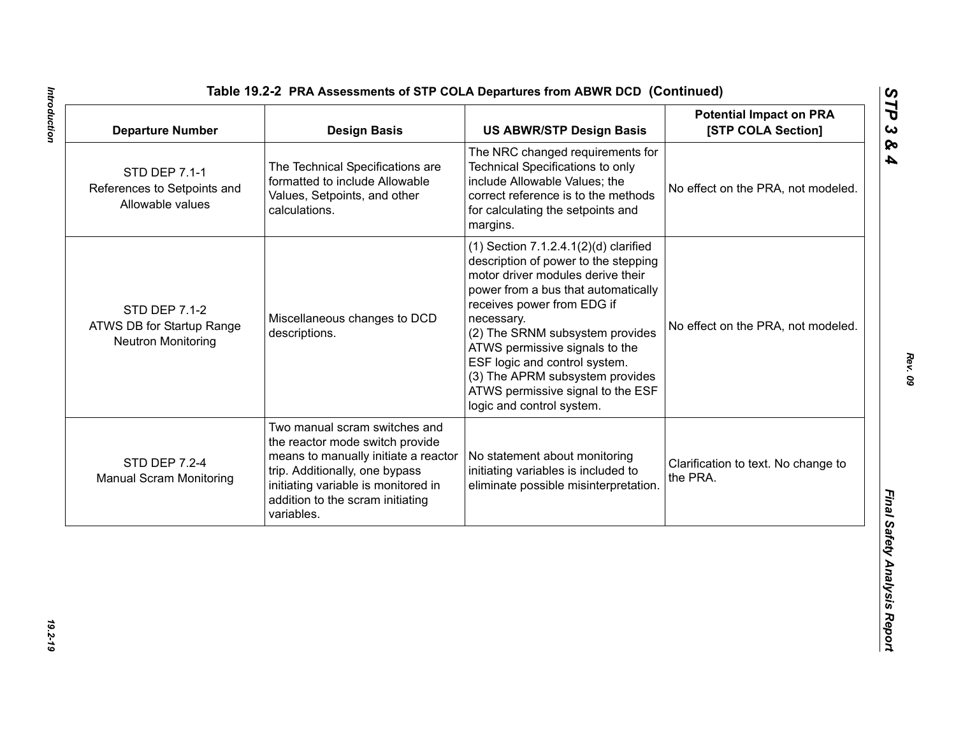| <b>Departure Number</b>                                                        | <b>Design Basis</b>                                                                                                                                                                                                                 | <b>US ABWR/STP Design Basis</b>                                                                                                                                                                                                                                                                                                                                                                                       | <b>Potential Impact on PRA</b><br>[STP COLA Section] |
|--------------------------------------------------------------------------------|-------------------------------------------------------------------------------------------------------------------------------------------------------------------------------------------------------------------------------------|-----------------------------------------------------------------------------------------------------------------------------------------------------------------------------------------------------------------------------------------------------------------------------------------------------------------------------------------------------------------------------------------------------------------------|------------------------------------------------------|
| <b>STD DEP 7.1-1</b><br>References to Setpoints and<br>Allowable values        | The Technical Specifications are<br>formatted to include Allowable<br>Values, Setpoints, and other<br>calculations.                                                                                                                 | The NRC changed requirements for<br><b>Technical Specifications to only</b><br>include Allowable Values; the<br>correct reference is to the methods<br>for calculating the setpoints and<br>margins.                                                                                                                                                                                                                  | No effect on the PRA, not modeled.                   |
| <b>STD DEP 7.1-2</b><br>ATWS DB for Startup Range<br><b>Neutron Monitoring</b> | Miscellaneous changes to DCD<br>descriptions.                                                                                                                                                                                       | $(1)$ Section 7.1.2.4.1 $(2)(d)$ clarified<br>description of power to the stepping<br>motor driver modules derive their<br>power from a bus that automatically<br>receives power from EDG if<br>necessary.<br>(2) The SRNM subsystem provides<br>ATWS permissive signals to the<br>ESF logic and control system.<br>(3) The APRM subsystem provides<br>ATWS permissive signal to the ESF<br>logic and control system. | No effect on the PRA, not modeled.                   |
| <b>STD DEP 7.2-4</b><br><b>Manual Scram Monitoring</b>                         | Two manual scram switches and<br>the reactor mode switch provide<br>means to manually initiate a reactor<br>trip. Additionally, one bypass<br>initiating variable is monitored in<br>addition to the scram initiating<br>variables. | No statement about monitoring<br>initiating variables is included to<br>eliminate possible misinterpretation.                                                                                                                                                                                                                                                                                                         | Clarification to text. No change to<br>the PRA.      |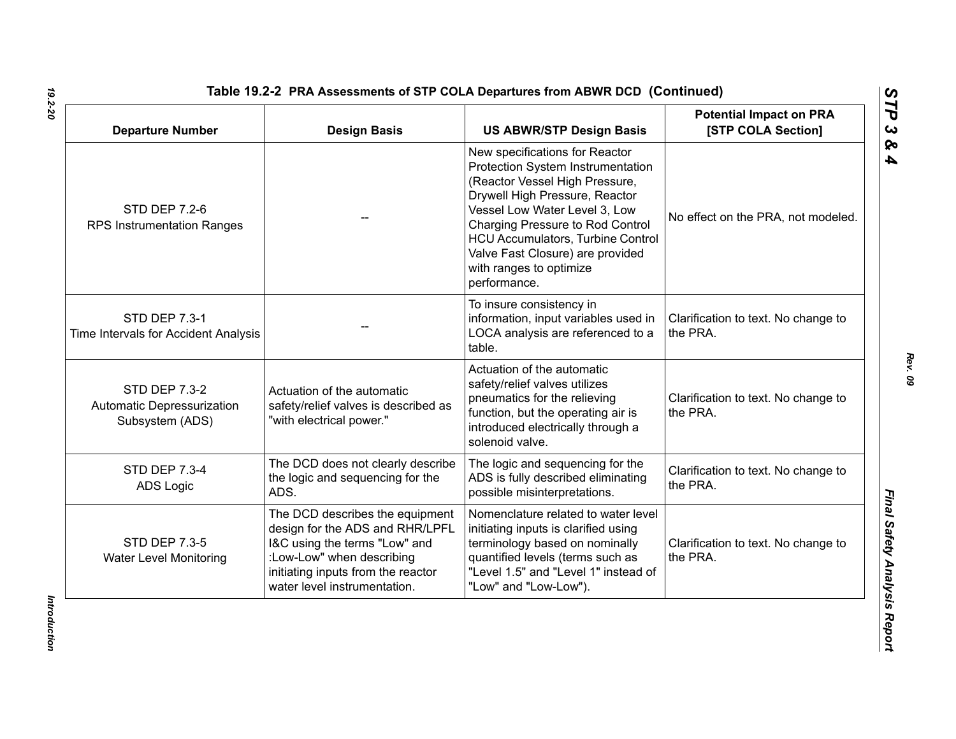| <b>Departure Number</b>                                               | <b>Design Basis</b>                                                                                                                                                                                    | <b>US ABWR/STP Design Basis</b>                                                                                                                                                                                                                                                                                                         | <b>Potential Impact on PRA</b><br>[STP COLA Section] |
|-----------------------------------------------------------------------|--------------------------------------------------------------------------------------------------------------------------------------------------------------------------------------------------------|-----------------------------------------------------------------------------------------------------------------------------------------------------------------------------------------------------------------------------------------------------------------------------------------------------------------------------------------|------------------------------------------------------|
| <b>STD DEP 7.2-6</b><br><b>RPS Instrumentation Ranges</b>             |                                                                                                                                                                                                        | New specifications for Reactor<br>Protection System Instrumentation<br>(Reactor Vessel High Pressure,<br>Drywell High Pressure, Reactor<br>Vessel Low Water Level 3, Low<br>Charging Pressure to Rod Control<br><b>HCU Accumulators, Turbine Control</b><br>Valve Fast Closure) are provided<br>with ranges to optimize<br>performance. | No effect on the PRA, not modeled.                   |
| <b>STD DEP 7.3-1</b><br>Time Intervals for Accident Analysis          |                                                                                                                                                                                                        | To insure consistency in<br>information, input variables used in<br>LOCA analysis are referenced to a<br>table.                                                                                                                                                                                                                         | Clarification to text. No change to<br>the PRA.      |
| <b>STD DEP 7.3-2</b><br>Automatic Depressurization<br>Subsystem (ADS) | Actuation of the automatic<br>safety/relief valves is described as<br>"with electrical power."                                                                                                         | Actuation of the automatic<br>safety/relief valves utilizes<br>pneumatics for the relieving<br>function, but the operating air is<br>introduced electrically through a<br>solenoid valve.                                                                                                                                               | Clarification to text. No change to<br>the PRA.      |
| <b>STD DEP 7.3-4</b><br><b>ADS Logic</b>                              | The DCD does not clearly describe<br>the logic and sequencing for the<br>ADS.                                                                                                                          | The logic and sequencing for the<br>ADS is fully described eliminating<br>possible misinterpretations.                                                                                                                                                                                                                                  | Clarification to text. No change to<br>the PRA.      |
| <b>STD DEP 7.3-5</b><br><b>Water Level Monitoring</b>                 | The DCD describes the equipment<br>design for the ADS and RHR/LPFL<br>I&C using the terms "Low" and<br>:Low-Low" when describing<br>initiating inputs from the reactor<br>water level instrumentation. | Nomenclature related to water level<br>initiating inputs is clarified using<br>terminology based on nominally<br>quantified levels (terms such as<br>"Level 1.5" and "Level 1" instead of<br>"Low" and "Low-Low").                                                                                                                      | Clarification to text. No change to<br>the PRA.      |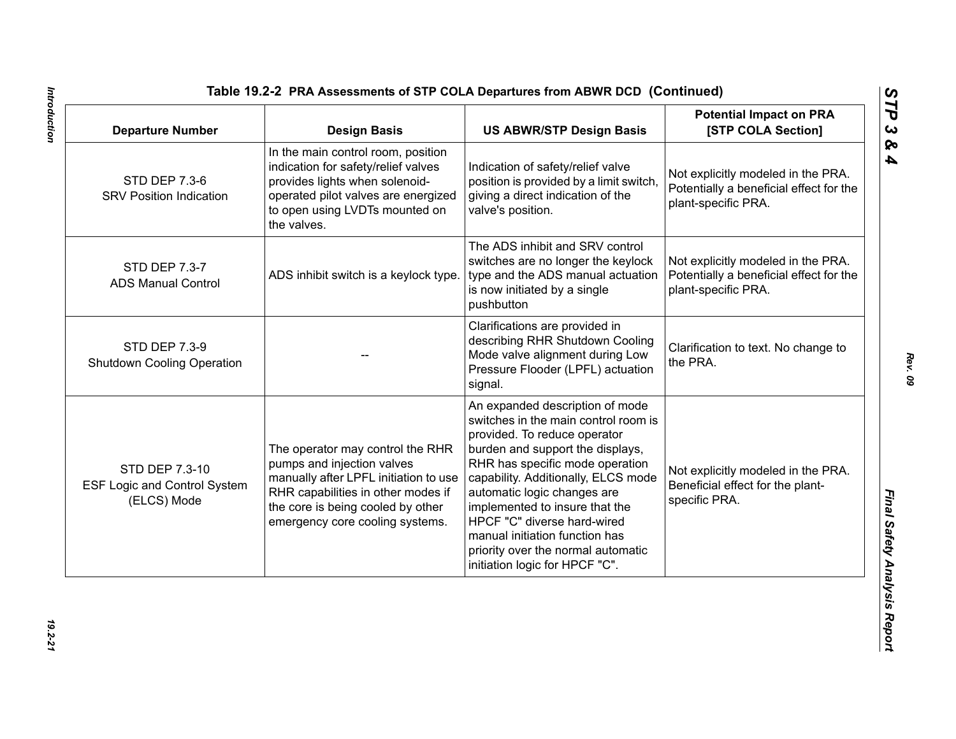| <b>Departure Number</b>                                              | <b>Design Basis</b>                                                                                                                                                                                                   | <b>US ABWR/STP Design Basis</b>                                                                                                                                                                                                                                                                                                                                                                                                 | <b>Potential Impact on PRA</b><br>[STP COLA Section]                                                 |
|----------------------------------------------------------------------|-----------------------------------------------------------------------------------------------------------------------------------------------------------------------------------------------------------------------|---------------------------------------------------------------------------------------------------------------------------------------------------------------------------------------------------------------------------------------------------------------------------------------------------------------------------------------------------------------------------------------------------------------------------------|------------------------------------------------------------------------------------------------------|
| <b>STD DEP 7.3-6</b><br><b>SRV Position Indication</b>               | In the main control room, position<br>indication for safety/relief valves<br>provides lights when solenoid-<br>operated pilot valves are energized<br>to open using LVDTs mounted on<br>the valves.                   | Indication of safety/relief valve<br>position is provided by a limit switch,<br>giving a direct indication of the<br>valve's position.                                                                                                                                                                                                                                                                                          | Not explicitly modeled in the PRA.<br>Potentially a beneficial effect for the<br>plant-specific PRA. |
| STD DEP 7.3-7<br><b>ADS Manual Control</b>                           | ADS inhibit switch is a keylock type.                                                                                                                                                                                 | The ADS inhibit and SRV control<br>switches are no longer the keylock<br>type and the ADS manual actuation<br>is now initiated by a single<br>pushbutton                                                                                                                                                                                                                                                                        | Not explicitly modeled in the PRA.<br>Potentially a beneficial effect for the<br>plant-specific PRA. |
| <b>STD DEP 7.3-9</b><br><b>Shutdown Cooling Operation</b>            |                                                                                                                                                                                                                       | Clarifications are provided in<br>describing RHR Shutdown Cooling<br>Mode valve alignment during Low<br>Pressure Flooder (LPFL) actuation<br>signal.                                                                                                                                                                                                                                                                            | Clarification to text. No change to<br>the PRA.                                                      |
| STD DEP 7.3-10<br><b>ESF Logic and Control System</b><br>(ELCS) Mode | The operator may control the RHR<br>pumps and injection valves<br>manually after LPFL initiation to use<br>RHR capabilities in other modes if<br>the core is being cooled by other<br>emergency core cooling systems. | An expanded description of mode<br>switches in the main control room is<br>provided. To reduce operator<br>burden and support the displays,<br>RHR has specific mode operation<br>capability. Additionally, ELCS mode<br>automatic logic changes are<br>implemented to insure that the<br>HPCF "C" diverse hard-wired<br>manual initiation function has<br>priority over the normal automatic<br>initiation logic for HPCF "C". | Not explicitly modeled in the PRA.<br>Beneficial effect for the plant-<br>specific PRA.              |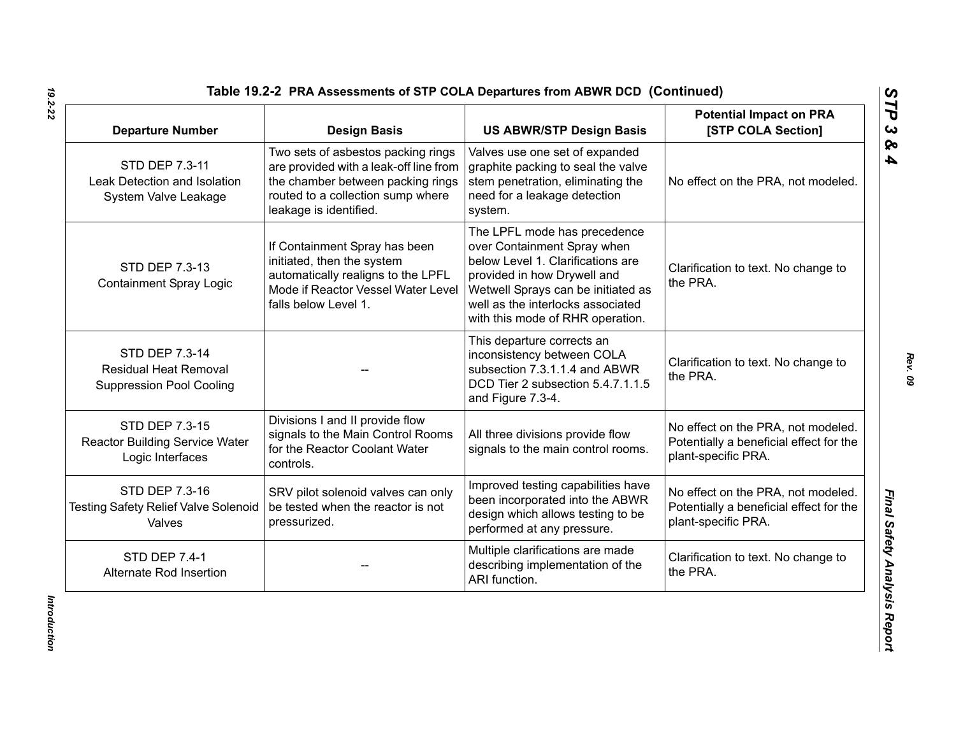| <b>Departure Number</b>                                                           | <b>Design Basis</b>                                                                                                                                                              | <b>US ABWR/STP Design Basis</b>                                                                                                                                                                                                                | <b>Potential Impact on PRA</b><br>[STP COLA Section]                                                 |
|-----------------------------------------------------------------------------------|----------------------------------------------------------------------------------------------------------------------------------------------------------------------------------|------------------------------------------------------------------------------------------------------------------------------------------------------------------------------------------------------------------------------------------------|------------------------------------------------------------------------------------------------------|
| STD DEP 7.3-11<br>Leak Detection and Isolation<br>System Valve Leakage            | Two sets of asbestos packing rings<br>are provided with a leak-off line from<br>the chamber between packing rings<br>routed to a collection sump where<br>leakage is identified. | Valves use one set of expanded<br>graphite packing to seal the valve<br>stem penetration, eliminating the<br>need for a leakage detection<br>system.                                                                                           | No effect on the PRA, not modeled.                                                                   |
| STD DEP 7.3-13<br><b>Containment Spray Logic</b>                                  | If Containment Spray has been<br>initiated, then the system<br>automatically realigns to the LPFL<br>Mode if Reactor Vessel Water Level<br>falls below Level 1.                  | The LPFL mode has precedence<br>over Containment Spray when<br>below Level 1. Clarifications are<br>provided in how Drywell and<br>Wetwell Sprays can be initiated as<br>well as the interlocks associated<br>with this mode of RHR operation. | Clarification to text. No change to<br>the PRA.                                                      |
| STD DEP 7.3-14<br><b>Residual Heat Removal</b><br><b>Suppression Pool Cooling</b> |                                                                                                                                                                                  | This departure corrects an<br>inconsistency between COLA<br>subsection 7.3.1.1.4 and ABWR<br>DCD Tier 2 subsection 5.4.7.1.1.5<br>and Figure 7.3-4.                                                                                            | Clarification to text. No change to<br>the PRA.                                                      |
| STD DEP 7.3-15<br><b>Reactor Building Service Water</b><br>Logic Interfaces       | Divisions I and II provide flow<br>signals to the Main Control Rooms<br>for the Reactor Coolant Water<br>controls.                                                               | All three divisions provide flow<br>signals to the main control rooms.                                                                                                                                                                         | No effect on the PRA, not modeled.<br>Potentially a beneficial effect for the<br>plant-specific PRA. |
| STD DEP 7.3-16<br><b>Testing Safety Relief Valve Solenoid</b><br>Valves           | SRV pilot solenoid valves can only<br>be tested when the reactor is not<br>pressurized.                                                                                          | Improved testing capabilities have<br>been incorporated into the ABWR<br>design which allows testing to be<br>performed at any pressure.                                                                                                       | No effect on the PRA, not modeled.<br>Potentially a beneficial effect for the<br>plant-specific PRA. |
| <b>STD DEP 7.4-1</b><br>Alternate Rod Insertion                                   |                                                                                                                                                                                  | Multiple clarifications are made<br>describing implementation of the<br>ARI function.                                                                                                                                                          | Clarification to text. No change to<br>the PRA.                                                      |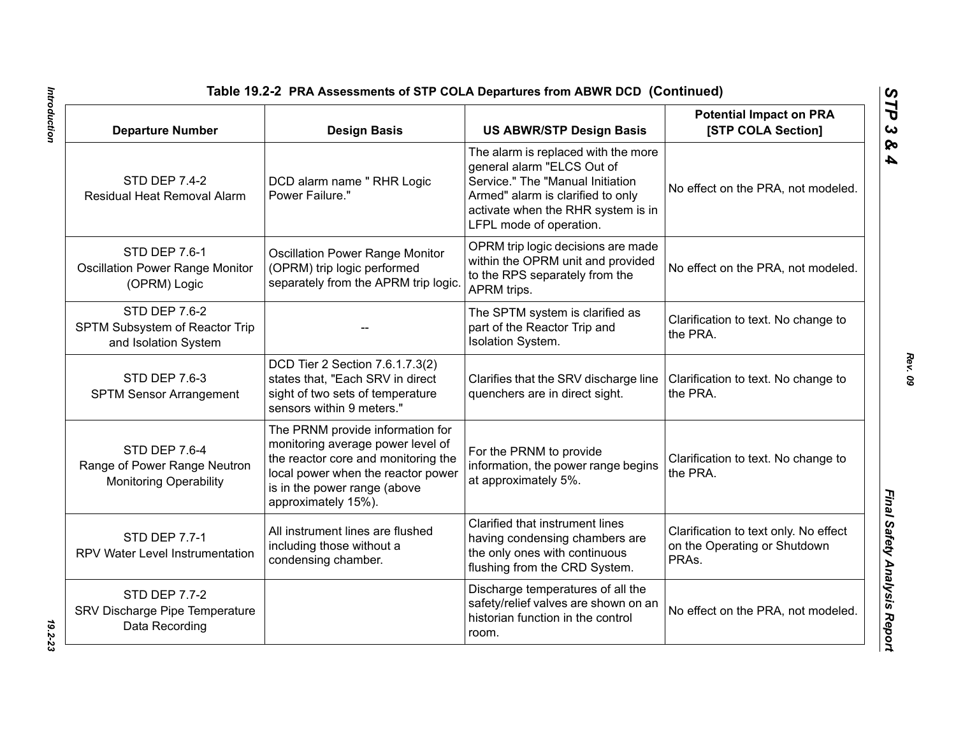| Table 19.2-2 PRA Assessments of STP COLA Departures from ABWR DCD (Continued)  |                                                                                                                                                                                                           |                                                                                                                                                                                                             |                                                                                |
|--------------------------------------------------------------------------------|-----------------------------------------------------------------------------------------------------------------------------------------------------------------------------------------------------------|-------------------------------------------------------------------------------------------------------------------------------------------------------------------------------------------------------------|--------------------------------------------------------------------------------|
| <b>Departure Number</b>                                                        | <b>Design Basis</b>                                                                                                                                                                                       | <b>US ABWR/STP Design Basis</b>                                                                                                                                                                             | <b>Potential Impact on PRA</b><br>[STP COLA Section]                           |
| <b>STD DEP 7.4-2</b><br>Residual Heat Removal Alarm                            | DCD alarm name " RHR Logic<br>Power Failure."                                                                                                                                                             | The alarm is replaced with the more<br>general alarm "ELCS Out of<br>Service." The "Manual Initiation<br>Armed" alarm is clarified to only<br>activate when the RHR system is in<br>LFPL mode of operation. | No effect on the PRA, not modeled.                                             |
| <b>STD DEP 7.6-1</b><br><b>Oscillation Power Range Monitor</b><br>(OPRM) Logic | <b>Oscillation Power Range Monitor</b><br>(OPRM) trip logic performed<br>separately from the APRM trip logic.                                                                                             | OPRM trip logic decisions are made<br>within the OPRM unit and provided<br>to the RPS separately from the<br>APRM trips.                                                                                    | No effect on the PRA, not modeled.                                             |
| <b>STD DEP 7.6-2</b><br>SPTM Subsystem of Reactor Trip<br>and Isolation System |                                                                                                                                                                                                           | The SPTM system is clarified as<br>part of the Reactor Trip and<br>Isolation System.                                                                                                                        | Clarification to text. No change to<br>the PRA.                                |
| <b>STD DEP 7.6-3</b><br><b>SPTM Sensor Arrangement</b>                         | DCD Tier 2 Section 7.6.1.7.3(2)<br>states that, "Each SRV in direct<br>sight of two sets of temperature<br>sensors within 9 meters."                                                                      | Clarifies that the SRV discharge line<br>quenchers are in direct sight.                                                                                                                                     | Clarification to text. No change to<br>the PRA.                                |
| STD DEP 7.6-4<br>Range of Power Range Neutron<br><b>Monitoring Operability</b> | The PRNM provide information for<br>monitoring average power level of<br>the reactor core and monitoring the<br>local power when the reactor power<br>is in the power range (above<br>approximately 15%). | For the PRNM to provide<br>information, the power range begins<br>at approximately 5%.                                                                                                                      | Clarification to text. No change to<br>the PRA.                                |
| <b>STD DEP 7.7-1</b><br>RPV Water Level Instrumentation                        | All instrument lines are flushed<br>including those without a<br>condensing chamber.                                                                                                                      | Clarified that instrument lines<br>having condensing chambers are<br>the only ones with continuous<br>flushing from the CRD System.                                                                         | Clarification to text only. No effect<br>on the Operating or Shutdown<br>PRAs. |
| <b>STD DEP 7.7-2</b><br>SRV Discharge Pipe Temperature<br>Data Recording       |                                                                                                                                                                                                           | Discharge temperatures of all the<br>safety/relief valves are shown on an<br>historian function in the control<br>room.                                                                                     | No effect on the PRA, not modeled.                                             |

Introduction *Introduction 19.2-23*

*Rev. 09*

*STP 3 & 4*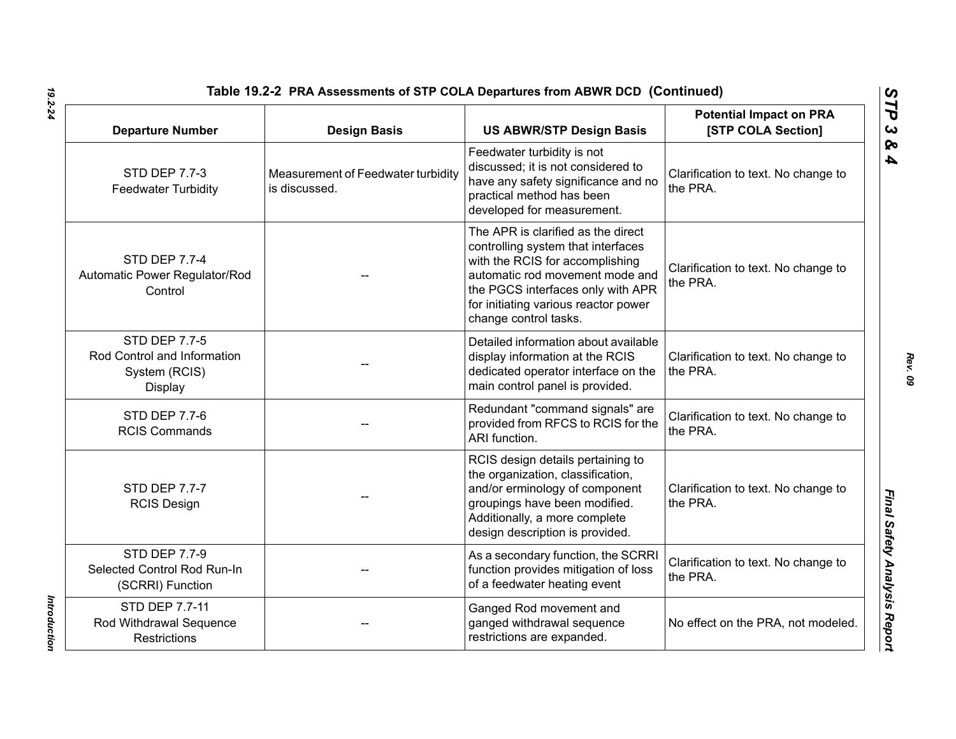| Table 19.2-2 PRA Assessments of STP COLA Departures from ABWR DCD (Continued)   |                                                     |                                                                                                                                                                                                                                                      |                                                      |
|---------------------------------------------------------------------------------|-----------------------------------------------------|------------------------------------------------------------------------------------------------------------------------------------------------------------------------------------------------------------------------------------------------------|------------------------------------------------------|
| <b>Departure Number</b>                                                         | <b>Design Basis</b>                                 | <b>US ABWR/STP Design Basis</b>                                                                                                                                                                                                                      | <b>Potential Impact on PRA</b><br>[STP COLA Section] |
| <b>STD DEP 7.7-3</b><br><b>Feedwater Turbidity</b>                              | Measurement of Feedwater turbidity<br>is discussed. | Feedwater turbidity is not<br>discussed; it is not considered to<br>have any safety significance and no<br>practical method has been<br>developed for measurement.                                                                                   | Clarification to text. No change to<br>the PRA.      |
| <b>STD DEP 7.7-4</b><br>Automatic Power Regulator/Rod<br>Control                |                                                     | The APR is clarified as the direct<br>controlling system that interfaces<br>with the RCIS for accomplishing<br>automatic rod movement mode and<br>the PGCS interfaces only with APR<br>for initiating various reactor power<br>change control tasks. | Clarification to text. No change to<br>the PRA.      |
| <b>STD DEP 7.7-5</b><br>Rod Control and Information<br>System (RCIS)<br>Display |                                                     | Detailed information about available<br>display information at the RCIS<br>dedicated operator interface on the<br>main control panel is provided.                                                                                                    | Clarification to text. No change to<br>the PRA.      |
| <b>STD DEP 7.7-6</b><br><b>RCIS Commands</b>                                    |                                                     | Redundant "command signals" are<br>provided from RFCS to RCIS for the<br>ARI function.                                                                                                                                                               | Clarification to text. No change to<br>the PRA.      |
| <b>STD DEP 7.7-7</b><br><b>RCIS Design</b>                                      |                                                     | RCIS design details pertaining to<br>the organization, classification,<br>and/or erminology of component<br>groupings have been modified.<br>Additionally, a more complete<br>design description is provided.                                        | Clarification to text. No change to<br>the PRA.      |
| <b>STD DEP 7.7-9</b><br>Selected Control Rod Run-In<br>(SCRRI) Function         |                                                     | As a secondary function, the SCRRI<br>function provides mitigation of loss<br>of a feedwater heating event                                                                                                                                           | Clarification to text. No change to<br>the PRA.      |
| STD DEP 7.7-11<br>Rod Withdrawal Sequence<br><b>Restrictions</b>                |                                                     | Ganged Rod movement and<br>ganged withdrawal sequence<br>restrictions are expanded.                                                                                                                                                                  | No effect on the PRA, not modeled.                   |

Introduction *Introduction*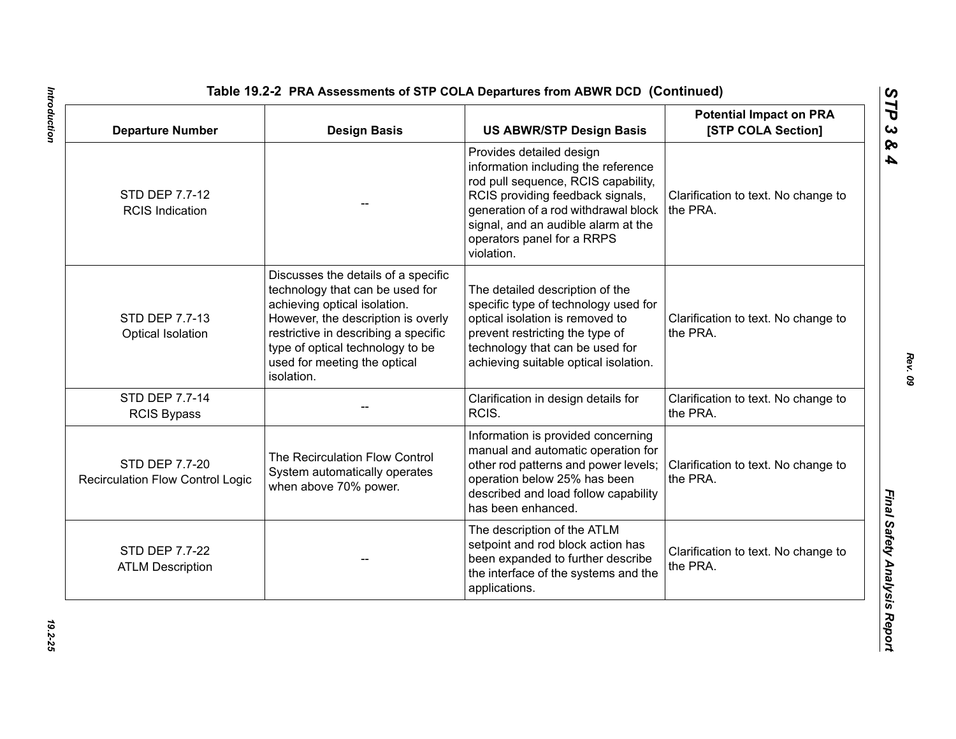| <b>Departure Number</b>                                   | <b>Design Basis</b>                                                                                                                                                                                                                                                    | <b>US ABWR/STP Design Basis</b>                                                                                                                                                                                                                                       | <b>Potential Impact on PRA</b><br>[STP COLA Section] |
|-----------------------------------------------------------|------------------------------------------------------------------------------------------------------------------------------------------------------------------------------------------------------------------------------------------------------------------------|-----------------------------------------------------------------------------------------------------------------------------------------------------------------------------------------------------------------------------------------------------------------------|------------------------------------------------------|
| STD DEP 7.7-12<br><b>RCIS Indication</b>                  |                                                                                                                                                                                                                                                                        | Provides detailed design<br>information including the reference<br>rod pull sequence, RCIS capability,<br>RCIS providing feedback signals,<br>generation of a rod withdrawal block<br>signal, and an audible alarm at the<br>operators panel for a RRPS<br>violation. | Clarification to text. No change to<br>the PRA.      |
| STD DEP 7.7-13<br>Optical Isolation                       | Discusses the details of a specific<br>technology that can be used for<br>achieving optical isolation.<br>However, the description is overly<br>restrictive in describing a specific<br>type of optical technology to be<br>used for meeting the optical<br>isolation. | The detailed description of the<br>specific type of technology used for<br>optical isolation is removed to<br>prevent restricting the type of<br>technology that can be used for<br>achieving suitable optical isolation.                                             | Clarification to text. No change to<br>the PRA.      |
| STD DEP 7.7-14<br><b>RCIS Bypass</b>                      |                                                                                                                                                                                                                                                                        | Clarification in design details for<br>RCIS.                                                                                                                                                                                                                          | Clarification to text. No change to<br>the PRA.      |
| STD DEP 7.7-20<br><b>Recirculation Flow Control Logic</b> | The Recirculation Flow Control<br>System automatically operates<br>when above 70% power.                                                                                                                                                                               | Information is provided concerning<br>manual and automatic operation for<br>other rod patterns and power levels;<br>operation below 25% has been<br>described and load follow capability<br>has been enhanced.                                                        | Clarification to text. No change to<br>the PRA.      |
| STD DEP 7.7-22<br><b>ATLM Description</b>                 |                                                                                                                                                                                                                                                                        | The description of the ATLM<br>setpoint and rod block action has<br>been expanded to further describe<br>the interface of the systems and the<br>applications.                                                                                                        | Clarification to text. No change to<br>the PRA.      |

Introduction *Introduction 19.2-25*

*Rev. 09*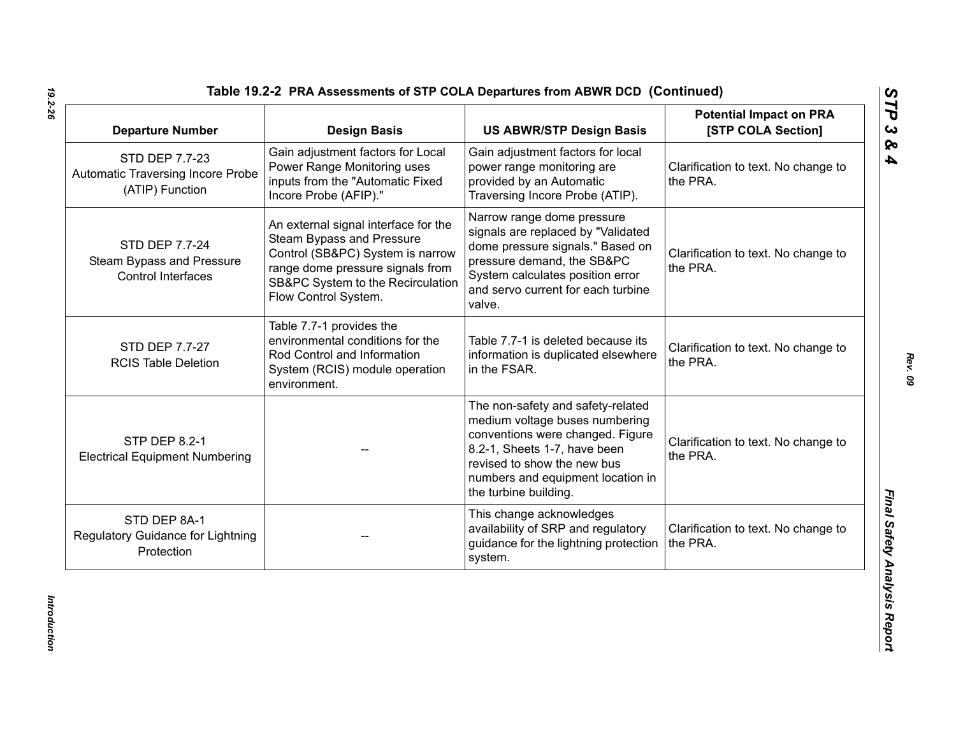| <b>Departure Number</b>                                                | <b>Design Basis</b>                                                                                                                                                                                    | <b>US ABWR/STP Design Basis</b>                                                                                                                                                                                                      | <b>Potential Impact on PRA</b><br>[STP COLA Section] |
|------------------------------------------------------------------------|--------------------------------------------------------------------------------------------------------------------------------------------------------------------------------------------------------|--------------------------------------------------------------------------------------------------------------------------------------------------------------------------------------------------------------------------------------|------------------------------------------------------|
| STD DEP 7.7-23<br>Automatic Traversing Incore Probe<br>(ATIP) Function | Gain adjustment factors for Local<br>Power Range Monitoring uses<br>inputs from the "Automatic Fixed<br>Incore Probe (AFIP)."                                                                          | Gain adjustment factors for local<br>power range monitoring are<br>provided by an Automatic<br>Traversing Incore Probe (ATIP).                                                                                                       | Clarification to text. No change to<br>the PRA.      |
| STD DEP 7.7-24<br>Steam Bypass and Pressure<br>Control Interfaces      | An external signal interface for the<br>Steam Bypass and Pressure<br>Control (SB&PC) System is narrow<br>range dome pressure signals from<br>SB&PC System to the Recirculation<br>Flow Control System. | Narrow range dome pressure<br>signals are replaced by "Validated<br>dome pressure signals." Based on<br>pressure demand, the SB&PC<br>System calculates position error<br>and servo current for each turbine<br>valve.               | Clarification to text. No change to<br>the PRA.      |
| STD DEP 7.7-27<br><b>RCIS Table Deletion</b>                           | Table 7.7-1 provides the<br>environmental conditions for the<br>Rod Control and Information<br>System (RCIS) module operation<br>environment.                                                          | Table 7.7-1 is deleted because its<br>information is duplicated elsewhere<br>in the FSAR.                                                                                                                                            | Clarification to text. No change to<br>the PRA.      |
| <b>STP DEP 8.2-1</b><br><b>Electrical Equipment Numbering</b>          |                                                                                                                                                                                                        | The non-safety and safety-related<br>medium voltage buses numbering<br>conventions were changed. Figure<br>8.2-1, Sheets 1-7, have been<br>revised to show the new bus<br>numbers and equipment location in<br>the turbine building. | Clarification to text. No change to<br>the PRA.      |
| STD DEP 8A-1<br>Regulatory Guidance for Lightning<br>Protection        |                                                                                                                                                                                                        | This change acknowledges<br>availability of SRP and regulatory<br>guidance for the lightning protection<br>system.                                                                                                                   | Clarification to text. No change to<br>the PRA.      |

*Introduction* 

Introduction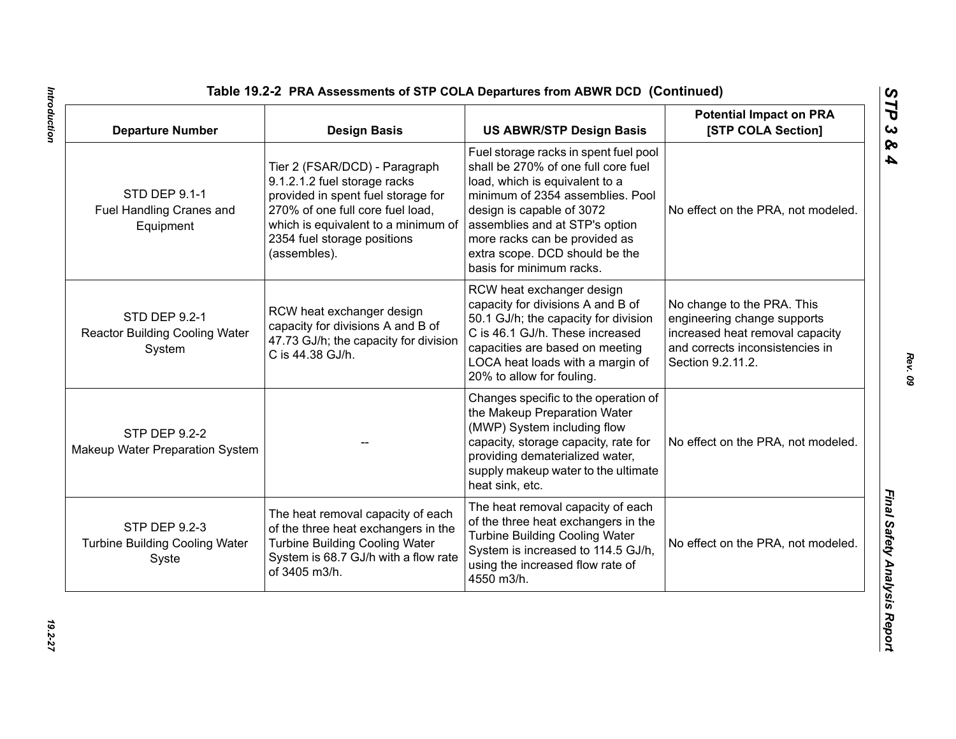| <b>Departure Number</b>                                          | <b>Design Basis</b>                                                                                                                                                                                                           | <b>US ABWR/STP Design Basis</b>                                                                                                                                                                                                                                                                                  | <b>Potential Impact on PRA</b><br>[STP COLA Section]                                                                                                 |
|------------------------------------------------------------------|-------------------------------------------------------------------------------------------------------------------------------------------------------------------------------------------------------------------------------|------------------------------------------------------------------------------------------------------------------------------------------------------------------------------------------------------------------------------------------------------------------------------------------------------------------|------------------------------------------------------------------------------------------------------------------------------------------------------|
| <b>STD DEP 9.1-1</b><br>Fuel Handling Cranes and<br>Equipment    | Tier 2 (FSAR/DCD) - Paragraph<br>9.1.2.1.2 fuel storage racks<br>provided in spent fuel storage for<br>270% of one full core fuel load,<br>which is equivalent to a minimum of<br>2354 fuel storage positions<br>(assembles). | Fuel storage racks in spent fuel pool<br>shall be 270% of one full core fuel<br>load, which is equivalent to a<br>minimum of 2354 assemblies. Pool<br>design is capable of 3072<br>assemblies and at STP's option<br>more racks can be provided as<br>extra scope. DCD should be the<br>basis for minimum racks. | No effect on the PRA, not modeled.                                                                                                                   |
| STD DEP 9.2-1<br><b>Reactor Building Cooling Water</b><br>System | RCW heat exchanger design<br>capacity for divisions A and B of<br>47.73 GJ/h; the capacity for division<br>C is 44.38 GJ/h.                                                                                                   | RCW heat exchanger design<br>capacity for divisions A and B of<br>50.1 GJ/h; the capacity for division<br>C is 46.1 GJ/h. These increased<br>capacities are based on meeting<br>LOCA heat loads with a margin of<br>20% to allow for fouling.                                                                    | No change to the PRA. This<br>engineering change supports<br>increased heat removal capacity<br>and corrects inconsistencies in<br>Section 9.2.11.2. |
| <b>STP DEP 9.2-2</b><br>Makeup Water Preparation System          |                                                                                                                                                                                                                               | Changes specific to the operation of<br>the Makeup Preparation Water<br>(MWP) System including flow<br>capacity, storage capacity, rate for<br>providing dematerialized water,<br>supply makeup water to the ultimate<br>heat sink, etc.                                                                         | No effect on the PRA, not modeled.                                                                                                                   |
| STP DEP 9.2-3<br><b>Turbine Building Cooling Water</b><br>Syste  | The heat removal capacity of each<br>of the three heat exchangers in the<br><b>Turbine Building Cooling Water</b><br>System is 68.7 GJ/h with a flow rate<br>of 3405 m3/h.                                                    | The heat removal capacity of each<br>of the three heat exchangers in the<br><b>Turbine Building Cooling Water</b><br>System is increased to 114.5 GJ/h,<br>using the increased flow rate of<br>4550 m3/h.                                                                                                        | No effect on the PRA, not modeled.                                                                                                                   |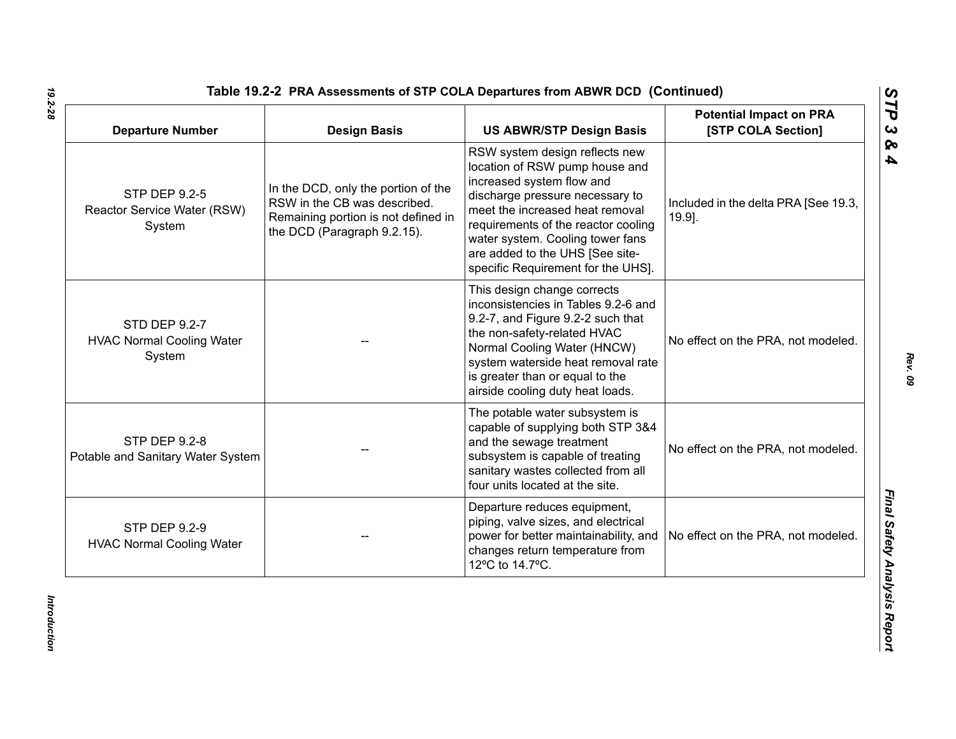| <b>Departure Number</b>                                     | <b>Design Basis</b>                                                                                                                       | <b>US ABWR/STP Design Basis</b>                                                                                                                                                                                                                                                                                         | <b>Potential Impact on PRA</b><br>[STP COLA Section] |
|-------------------------------------------------------------|-------------------------------------------------------------------------------------------------------------------------------------------|-------------------------------------------------------------------------------------------------------------------------------------------------------------------------------------------------------------------------------------------------------------------------------------------------------------------------|------------------------------------------------------|
| STP DEP 9.2-5<br>Reactor Service Water (RSW)<br>System      | In the DCD, only the portion of the<br>RSW in the CB was described.<br>Remaining portion is not defined in<br>the DCD (Paragraph 9.2.15). | RSW system design reflects new<br>location of RSW pump house and<br>increased system flow and<br>discharge pressure necessary to<br>meet the increased heat removal<br>requirements of the reactor cooling<br>water system. Cooling tower fans<br>are added to the UHS [See site-<br>specific Requirement for the UHS]. | Included in the delta PRA [See 19.3,<br>19.9].       |
| STD DEP 9.2-7<br><b>HVAC Normal Cooling Water</b><br>System |                                                                                                                                           | This design change corrects<br>inconsistencies in Tables 9.2-6 and<br>9.2-7, and Figure 9.2-2 such that<br>the non-safety-related HVAC<br>Normal Cooling Water (HNCW)<br>system waterside heat removal rate<br>is greater than or equal to the<br>airside cooling duty heat loads.                                      | No effect on the PRA, not modeled.                   |
| <b>STP DEP 9.2-8</b><br>Potable and Sanitary Water System   |                                                                                                                                           | The potable water subsystem is<br>capable of supplying both STP 3&4<br>and the sewage treatment<br>subsystem is capable of treating<br>sanitary wastes collected from all<br>four units located at the site.                                                                                                            | No effect on the PRA, not modeled.                   |
| <b>STP DEP 9.2-9</b><br><b>HVAC Normal Cooling Water</b>    |                                                                                                                                           | Departure reduces equipment,<br>piping, valve sizes, and electrical<br>power for better maintainability, and<br>changes return temperature from<br>12°C to 14.7°C.                                                                                                                                                      | No effect on the PRA, not modeled.                   |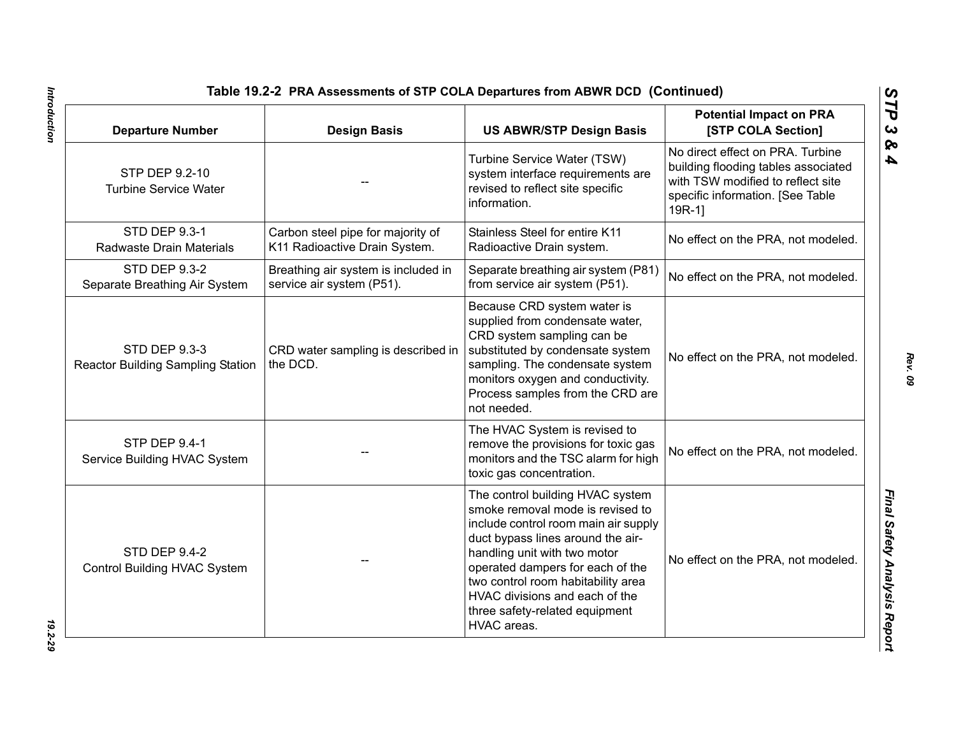| <b>Departure Number</b>                                          | <b>Design Basis</b>                                                | <b>US ABWR/STP Design Basis</b>                                                                                                                                                                                                                                                                                                                | <b>Potential Impact on PRA</b><br>[STP COLA Section]                                                                                                        |
|------------------------------------------------------------------|--------------------------------------------------------------------|------------------------------------------------------------------------------------------------------------------------------------------------------------------------------------------------------------------------------------------------------------------------------------------------------------------------------------------------|-------------------------------------------------------------------------------------------------------------------------------------------------------------|
| STP DEP 9.2-10<br><b>Turbine Service Water</b>                   |                                                                    | Turbine Service Water (TSW)<br>system interface requirements are<br>revised to reflect site specific<br>information.                                                                                                                                                                                                                           | No direct effect on PRA. Turbine<br>building flooding tables associated<br>with TSW modified to reflect site<br>specific information. [See Table<br>$19R-1$ |
| <b>STD DEP 9.3-1</b><br>Radwaste Drain Materials                 | Carbon steel pipe for majority of<br>K11 Radioactive Drain System. | Stainless Steel for entire K11<br>Radioactive Drain system.                                                                                                                                                                                                                                                                                    | No effect on the PRA, not modeled.                                                                                                                          |
| <b>STD DEP 9.3-2</b><br>Separate Breathing Air System            | Breathing air system is included in<br>service air system (P51).   | Separate breathing air system (P81)<br>from service air system (P51).                                                                                                                                                                                                                                                                          | No effect on the PRA, not modeled.                                                                                                                          |
| <b>STD DEP 9.3-3</b><br><b>Reactor Building Sampling Station</b> | CRD water sampling is described in<br>the DCD.                     | Because CRD system water is<br>supplied from condensate water,<br>CRD system sampling can be<br>substituted by condensate system<br>sampling. The condensate system<br>monitors oxygen and conductivity.<br>Process samples from the CRD are<br>not needed.                                                                                    | No effect on the PRA, not modeled.                                                                                                                          |
| <b>STP DEP 9.4-1</b><br>Service Building HVAC System             |                                                                    | The HVAC System is revised to<br>remove the provisions for toxic gas<br>monitors and the TSC alarm for high<br>toxic gas concentration.                                                                                                                                                                                                        | No effect on the PRA, not modeled.                                                                                                                          |
| <b>STD DEP 9.4-2</b><br>Control Building HVAC System             |                                                                    | The control building HVAC system<br>smoke removal mode is revised to<br>include control room main air supply<br>duct bypass lines around the air-<br>handling unit with two motor<br>operated dampers for each of the<br>two control room habitability area<br>HVAC divisions and each of the<br>three safety-related equipment<br>HVAC areas. | No effect on the PRA, not modeled.                                                                                                                          |

Introduction *Introduction 19.2-29*

*Rev. 09*

*STP 3 & 4*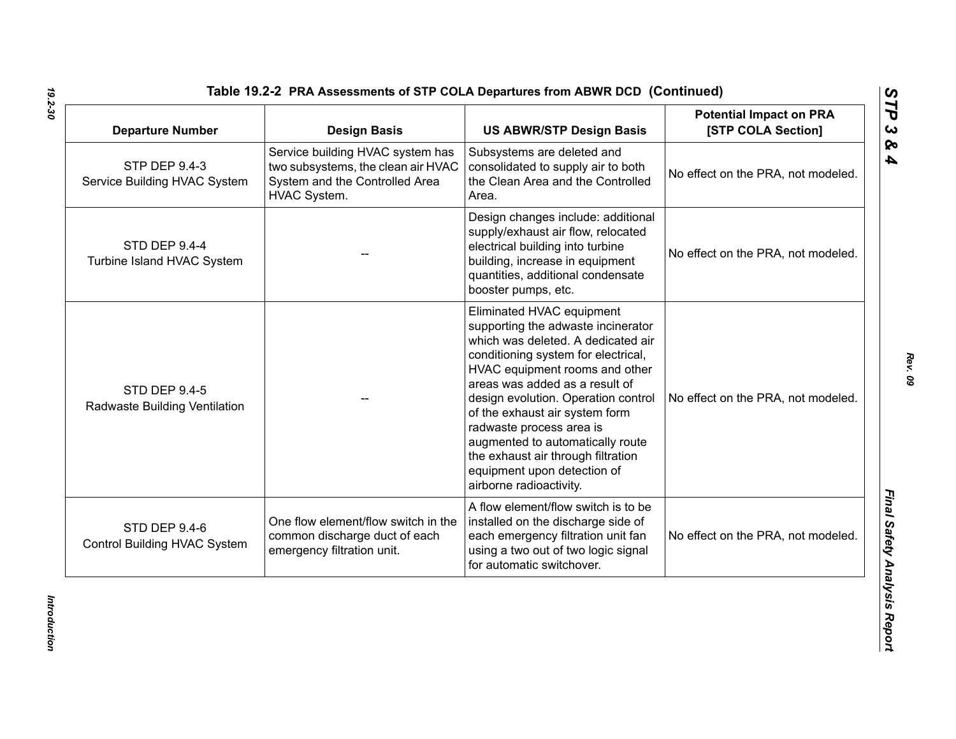| <b>Departure Number</b>                               | <b>Design Basis</b>                                                                                                      | <b>US ABWR/STP Design Basis</b>                                                                                                                                                                                                                                                                                                                                                                                                                           | <b>Potential Impact on PRA</b><br>[STP COLA Section] |
|-------------------------------------------------------|--------------------------------------------------------------------------------------------------------------------------|-----------------------------------------------------------------------------------------------------------------------------------------------------------------------------------------------------------------------------------------------------------------------------------------------------------------------------------------------------------------------------------------------------------------------------------------------------------|------------------------------------------------------|
| <b>STP DEP 9.4-3</b><br>Service Building HVAC System  | Service building HVAC system has<br>two subsystems, the clean air HVAC<br>System and the Controlled Area<br>HVAC System. | Subsystems are deleted and<br>consolidated to supply air to both<br>the Clean Area and the Controlled<br>Area.                                                                                                                                                                                                                                                                                                                                            | No effect on the PRA, not modeled.                   |
| <b>STD DEP 9.4-4</b><br>Turbine Island HVAC System    |                                                                                                                          | Design changes include: additional<br>supply/exhaust air flow, relocated<br>electrical building into turbine<br>building, increase in equipment<br>quantities, additional condensate<br>booster pumps, etc.                                                                                                                                                                                                                                               | No effect on the PRA, not modeled.                   |
| <b>STD DEP 9.4-5</b><br>Radwaste Building Ventilation |                                                                                                                          | Eliminated HVAC equipment<br>supporting the adwaste incinerator<br>which was deleted. A dedicated air<br>conditioning system for electrical,<br>HVAC equipment rooms and other<br>areas was added as a result of<br>design evolution. Operation control<br>of the exhaust air system form<br>radwaste process area is<br>augmented to automatically route<br>the exhaust air through filtration<br>equipment upon detection of<br>airborne radioactivity. | No effect on the PRA, not modeled.                   |
| STD DEP 9.4-6<br>Control Building HVAC System         | One flow element/flow switch in the<br>common discharge duct of each<br>emergency filtration unit.                       | A flow element/flow switch is to be<br>installed on the discharge side of<br>each emergency filtration unit fan<br>using a two out of two logic signal<br>for automatic switchover.                                                                                                                                                                                                                                                                       | No effect on the PRA, not modeled.                   |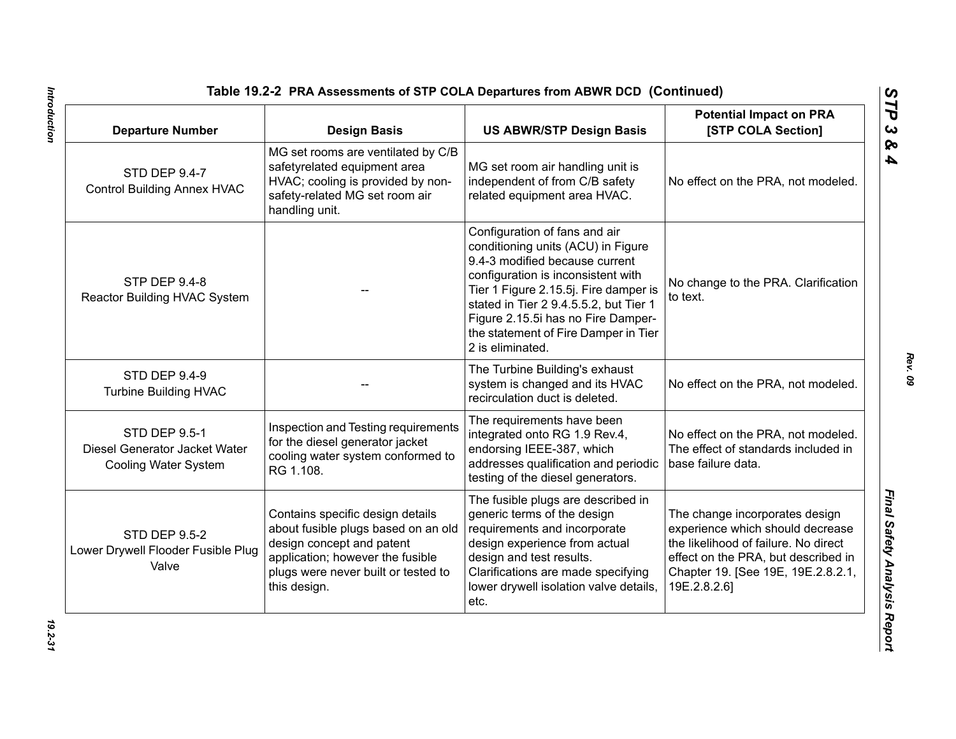| <b>Departure Number</b>                                                              | <b>Design Basis</b>                                                                                                                                                                             | <b>US ABWR/STP Design Basis</b>                                                                                                                                                                                                                                                                                                  | <b>Potential Impact on PRA</b><br>[STP COLA Section]                                                                                                                                                    |
|--------------------------------------------------------------------------------------|-------------------------------------------------------------------------------------------------------------------------------------------------------------------------------------------------|----------------------------------------------------------------------------------------------------------------------------------------------------------------------------------------------------------------------------------------------------------------------------------------------------------------------------------|---------------------------------------------------------------------------------------------------------------------------------------------------------------------------------------------------------|
| <b>STD DEP 9.4-7</b><br><b>Control Building Annex HVAC</b>                           | MG set rooms are ventilated by C/B<br>safetyrelated equipment area<br>HVAC; cooling is provided by non-<br>safety-related MG set room air<br>handling unit.                                     | MG set room air handling unit is<br>independent of from C/B safety<br>related equipment area HVAC.                                                                                                                                                                                                                               | No effect on the PRA, not modeled.                                                                                                                                                                      |
| <b>STP DEP 9.4-8</b><br>Reactor Building HVAC System                                 |                                                                                                                                                                                                 | Configuration of fans and air<br>conditioning units (ACU) in Figure<br>9.4-3 modified because current<br>configuration is inconsistent with<br>Tier 1 Figure 2.15.5j. Fire damper is<br>stated in Tier 2 9.4.5.5.2, but Tier 1<br>Figure 2.15.5i has no Fire Damper-<br>the statement of Fire Damper in Tier<br>2 is eliminated. | No change to the PRA. Clarification<br>to text.                                                                                                                                                         |
| <b>STD DEP 9.4-9</b><br><b>Turbine Building HVAC</b>                                 |                                                                                                                                                                                                 | The Turbine Building's exhaust<br>system is changed and its HVAC<br>recirculation duct is deleted.                                                                                                                                                                                                                               | No effect on the PRA, not modeled.                                                                                                                                                                      |
| <b>STD DEP 9.5-1</b><br>Diesel Generator Jacket Water<br><b>Cooling Water System</b> | Inspection and Testing requirements<br>for the diesel generator jacket<br>cooling water system conformed to<br>RG 1.108.                                                                        | The requirements have been<br>integrated onto RG 1.9 Rev.4,<br>endorsing IEEE-387, which<br>addresses qualification and periodic<br>testing of the diesel generators.                                                                                                                                                            | No effect on the PRA, not modeled.<br>The effect of standards included in<br>base failure data.                                                                                                         |
| <b>STD DEP 9.5-2</b><br>Lower Drywell Flooder Fusible Plug<br>Valve                  | Contains specific design details<br>about fusible plugs based on an old<br>design concept and patent<br>application; however the fusible<br>plugs were never built or tested to<br>this design. | The fusible plugs are described in<br>generic terms of the design<br>requirements and incorporate<br>design experience from actual<br>design and test results.<br>Clarifications are made specifying<br>lower drywell isolation valve details,<br>etc.                                                                           | The change incorporates design<br>experience which should decrease<br>the likelihood of failure. No direct<br>effect on the PRA, but described in<br>Chapter 19. [See 19E, 19E.2.8.2.1,<br>19E.2.8.2.6] |

Introduction *Introduction 19.2-31*

*Rev. 09*

*STP 3 & 4*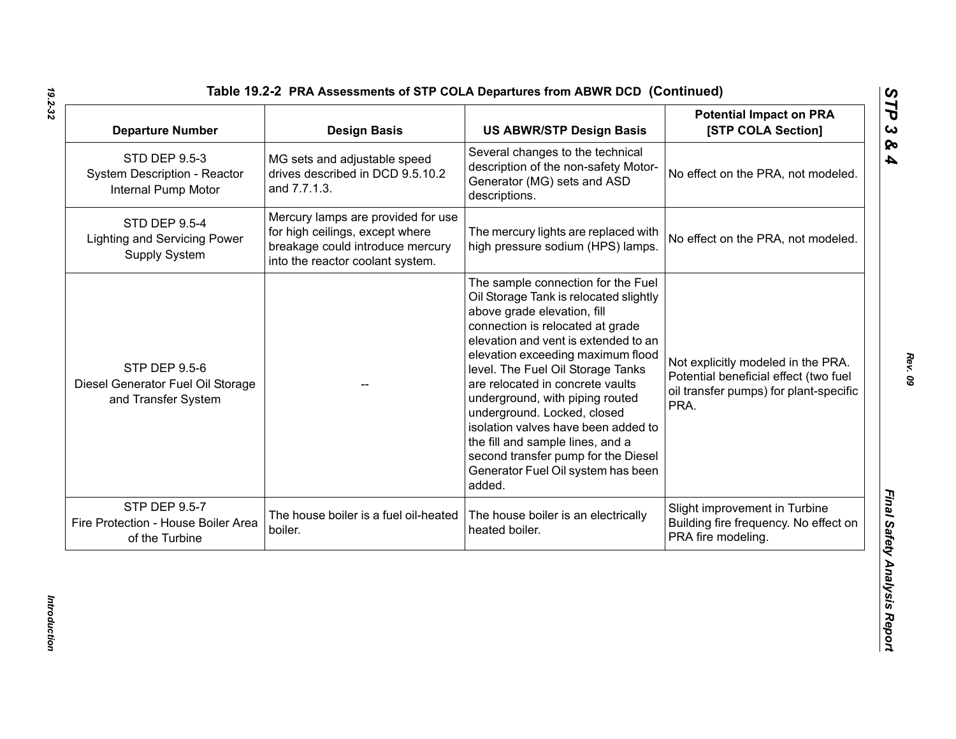| <b>Departure Number</b>                                                          | <b>Design Basis</b>                                                                                                                           | <b>US ABWR/STP Design Basis</b>                                                                                                                                                                                                                                                                                                                                                                                                                                                                                                           | <b>Potential Impact on PRA</b><br>[STP COLA Section]                                                                          |
|----------------------------------------------------------------------------------|-----------------------------------------------------------------------------------------------------------------------------------------------|-------------------------------------------------------------------------------------------------------------------------------------------------------------------------------------------------------------------------------------------------------------------------------------------------------------------------------------------------------------------------------------------------------------------------------------------------------------------------------------------------------------------------------------------|-------------------------------------------------------------------------------------------------------------------------------|
| <b>STD DEP 9.5-3</b><br>System Description - Reactor<br>Internal Pump Motor      | MG sets and adjustable speed<br>drives described in DCD 9.5.10.2<br>and 7.7.1.3.                                                              | Several changes to the technical<br>description of the non-safety Motor-<br>Generator (MG) sets and ASD<br>descriptions.                                                                                                                                                                                                                                                                                                                                                                                                                  | No effect on the PRA, not modeled.                                                                                            |
| <b>STD DEP 9.5-4</b><br><b>Lighting and Servicing Power</b><br>Supply System     | Mercury lamps are provided for use<br>for high ceilings, except where<br>breakage could introduce mercury<br>into the reactor coolant system. | The mercury lights are replaced with<br>high pressure sodium (HPS) lamps.                                                                                                                                                                                                                                                                                                                                                                                                                                                                 | No effect on the PRA, not modeled.                                                                                            |
| <b>STP DEP 9.5-6</b><br>Diesel Generator Fuel Oil Storage<br>and Transfer System |                                                                                                                                               | The sample connection for the Fuel<br>Oil Storage Tank is relocated slightly<br>above grade elevation, fill<br>connection is relocated at grade<br>elevation and vent is extended to an<br>elevation exceeding maximum flood<br>level. The Fuel Oil Storage Tanks<br>are relocated in concrete vaults<br>underground, with piping routed<br>underground. Locked, closed<br>isolation valves have been added to<br>the fill and sample lines, and a<br>second transfer pump for the Diesel<br>Generator Fuel Oil system has been<br>added. | Not explicitly modeled in the PRA.<br>Potential beneficial effect (two fuel<br>oil transfer pumps) for plant-specific<br>PRA. |
| <b>STP DEP 9.5-7</b><br>Fire Protection - House Boiler Area<br>of the Turbine    | The house boiler is a fuel oil-heated<br>boiler.                                                                                              | The house boiler is an electrically<br>heated boiler.                                                                                                                                                                                                                                                                                                                                                                                                                                                                                     | Slight improvement in Turbine<br>Building fire frequency. No effect on<br>PRA fire modeling.                                  |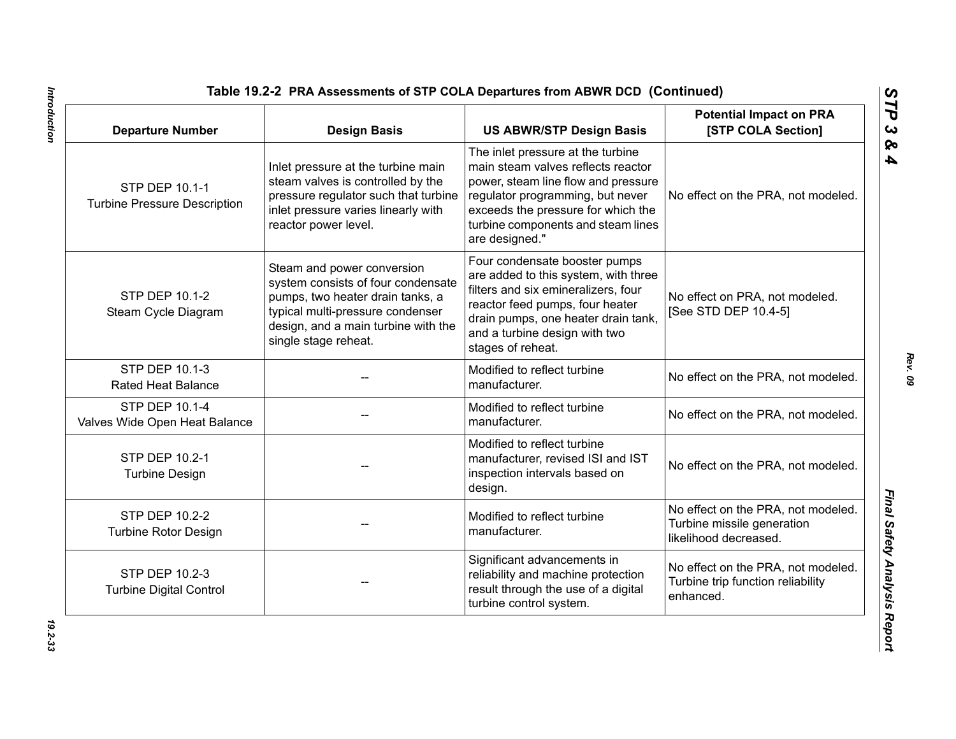| <b>Departure Number</b>                               | <b>Design Basis</b>                                                                                                                                                                                     | <b>US ABWR/STP Design Basis</b>                                                                                                                                                                                                                  | <b>Potential Impact on PRA</b><br>[STP COLA Section]                                      |
|-------------------------------------------------------|---------------------------------------------------------------------------------------------------------------------------------------------------------------------------------------------------------|--------------------------------------------------------------------------------------------------------------------------------------------------------------------------------------------------------------------------------------------------|-------------------------------------------------------------------------------------------|
| STP DEP 10.1-1<br><b>Turbine Pressure Description</b> | Inlet pressure at the turbine main<br>steam valves is controlled by the<br>pressure regulator such that turbine<br>inlet pressure varies linearly with<br>reactor power level.                          | The inlet pressure at the turbine<br>main steam valves reflects reactor<br>power, steam line flow and pressure<br>regulator programming, but never<br>exceeds the pressure for which the<br>turbine components and steam lines<br>are designed." | No effect on the PRA, not modeled.                                                        |
| STP DEP 10.1-2<br>Steam Cycle Diagram                 | Steam and power conversion<br>system consists of four condensate<br>pumps, two heater drain tanks, a<br>typical multi-pressure condenser<br>design, and a main turbine with the<br>single stage reheat. | Four condensate booster pumps<br>are added to this system, with three<br>filters and six emineralizers, four<br>reactor feed pumps, four heater<br>drain pumps, one heater drain tank,<br>and a turbine design with two<br>stages of reheat.     | No effect on PRA, not modeled.<br>[See STD DEP 10.4-5]                                    |
| STP DEP 10.1-3<br><b>Rated Heat Balance</b>           |                                                                                                                                                                                                         | Modified to reflect turbine<br>manufacturer.                                                                                                                                                                                                     | No effect on the PRA, not modeled.                                                        |
| STP DEP 10.1-4<br>Valves Wide Open Heat Balance       |                                                                                                                                                                                                         | Modified to reflect turbine<br>manufacturer.                                                                                                                                                                                                     | No effect on the PRA, not modeled.                                                        |
| STP DEP 10.2-1<br><b>Turbine Design</b>               |                                                                                                                                                                                                         | Modified to reflect turbine<br>manufacturer, revised ISI and IST<br>inspection intervals based on<br>design.                                                                                                                                     | No effect on the PRA, not modeled.                                                        |
| STP DEP 10.2-2<br><b>Turbine Rotor Design</b>         |                                                                                                                                                                                                         | Modified to reflect turbine<br>manufacturer.                                                                                                                                                                                                     | No effect on the PRA, not modeled.<br>Turbine missile generation<br>likelihood decreased. |
| STP DEP 10.2-3<br><b>Turbine Digital Control</b>      |                                                                                                                                                                                                         | Significant advancements in<br>reliability and machine protection<br>result through the use of a digital<br>turbine control system.                                                                                                              | No effect on the PRA, not modeled.<br>Turbine trip function reliability<br>enhanced.      |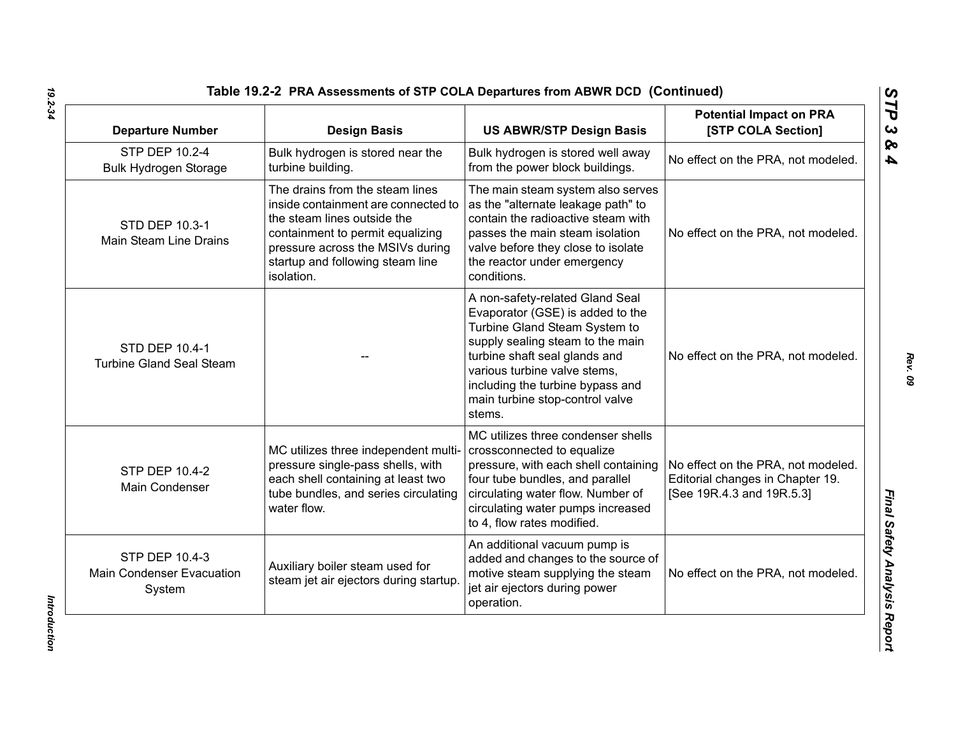| <b>Departure Number</b>                                      | <b>Design Basis</b>                                                                                                                                                                                                             | <b>US ABWR/STP Design Basis</b>                                                                                                                                                                                                                                                            | <b>Potential Impact on PRA</b><br>[STP COLA Section]                                                |
|--------------------------------------------------------------|---------------------------------------------------------------------------------------------------------------------------------------------------------------------------------------------------------------------------------|--------------------------------------------------------------------------------------------------------------------------------------------------------------------------------------------------------------------------------------------------------------------------------------------|-----------------------------------------------------------------------------------------------------|
| STP DEP 10.2-4<br><b>Bulk Hydrogen Storage</b>               | Bulk hydrogen is stored near the<br>turbine building.                                                                                                                                                                           | Bulk hydrogen is stored well away<br>from the power block buildings.                                                                                                                                                                                                                       | No effect on the PRA, not modeled.                                                                  |
| STD DEP 10.3-1<br>Main Steam Line Drains                     | The drains from the steam lines<br>inside containment are connected to<br>the steam lines outside the<br>containment to permit equalizing<br>pressure across the MSIVs during<br>startup and following steam line<br>isolation. | The main steam system also serves<br>as the "alternate leakage path" to<br>contain the radioactive steam with<br>passes the main steam isolation<br>valve before they close to isolate<br>the reactor under emergency<br>conditions.                                                       | No effect on the PRA, not modeled.                                                                  |
| <b>STD DEP 10.4-1</b><br><b>Turbine Gland Seal Steam</b>     |                                                                                                                                                                                                                                 | A non-safety-related Gland Seal<br>Evaporator (GSE) is added to the<br>Turbine Gland Steam System to<br>supply sealing steam to the main<br>turbine shaft seal glands and<br>various turbine valve stems,<br>including the turbine bypass and<br>main turbine stop-control valve<br>stems. | No effect on the PRA, not modeled.                                                                  |
| <b>STP DEP 10.4-2</b><br>Main Condenser                      | MC utilizes three independent multi-<br>pressure single-pass shells, with<br>each shell containing at least two<br>tube bundles, and series circulating<br>water flow.                                                          | MC utilizes three condenser shells<br>crossconnected to equalize<br>pressure, with each shell containing<br>four tube bundles, and parallel<br>circulating water flow. Number of<br>circulating water pumps increased<br>to 4, flow rates modified.                                        | No effect on the PRA, not modeled.<br>Editorial changes in Chapter 19.<br>[See 19R.4.3 and 19R.5.3] |
| STP DEP 10.4-3<br><b>Main Condenser Evacuation</b><br>System | Auxiliary boiler steam used for<br>steam jet air ejectors during startup                                                                                                                                                        | An additional vacuum pump is<br>added and changes to the source of<br>motive steam supplying the steam<br>jet air ejectors during power<br>operation.                                                                                                                                      | No effect on the PRA, not modeled.                                                                  |

Introduction *Introduction*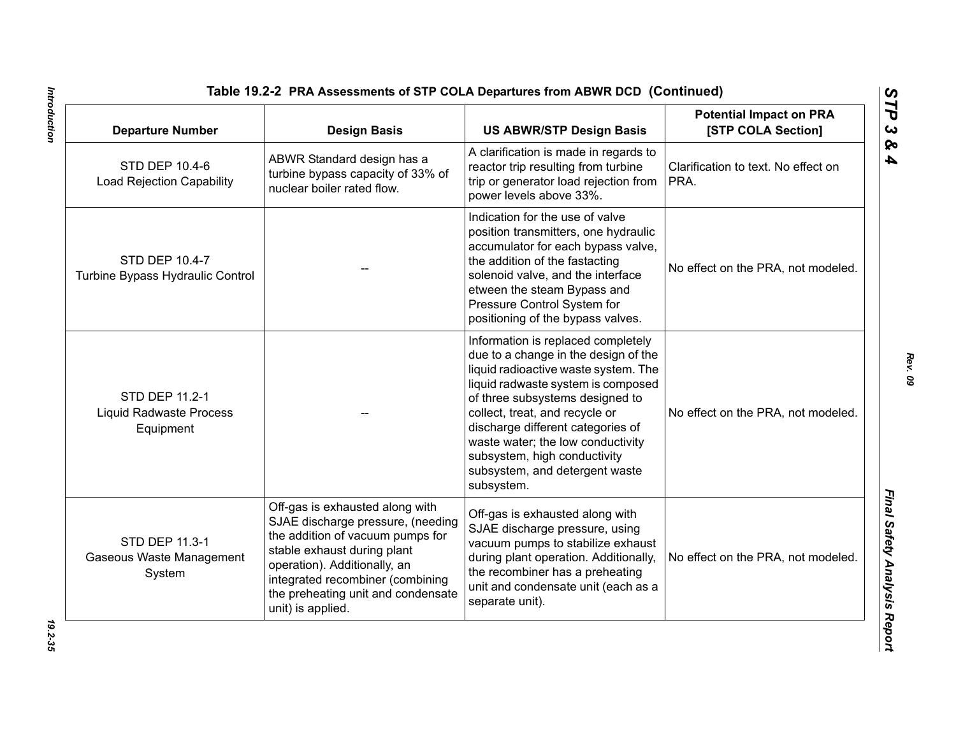| <b>Departure Number</b>                                       | <b>Design Basis</b>                                                                                                                                                                                                                                                    | <b>US ABWR/STP Design Basis</b>                                                                                                                                                                                                                                                                                                                                                         | <b>Potential Impact on PRA</b><br>[STP COLA Section] |
|---------------------------------------------------------------|------------------------------------------------------------------------------------------------------------------------------------------------------------------------------------------------------------------------------------------------------------------------|-----------------------------------------------------------------------------------------------------------------------------------------------------------------------------------------------------------------------------------------------------------------------------------------------------------------------------------------------------------------------------------------|------------------------------------------------------|
| STD DEP 10.4-6<br><b>Load Rejection Capability</b>            | ABWR Standard design has a<br>turbine bypass capacity of 33% of<br>nuclear boiler rated flow.                                                                                                                                                                          | A clarification is made in regards to<br>reactor trip resulting from turbine<br>trip or generator load rejection from<br>power levels above 33%.                                                                                                                                                                                                                                        | Clarification to text. No effect on<br>PRA.          |
| STD DEP 10.4-7<br>Turbine Bypass Hydraulic Control            |                                                                                                                                                                                                                                                                        | Indication for the use of valve<br>position transmitters, one hydraulic<br>accumulator for each bypass valve,<br>the addition of the fastacting<br>solenoid valve, and the interface<br>etween the steam Bypass and<br>Pressure Control System for<br>positioning of the bypass valves.                                                                                                 | No effect on the PRA, not modeled.                   |
| STD DEP 11.2-1<br><b>Liquid Radwaste Process</b><br>Equipment |                                                                                                                                                                                                                                                                        | Information is replaced completely<br>due to a change in the design of the<br>liquid radioactive waste system. The<br>liquid radwaste system is composed<br>of three subsystems designed to<br>collect, treat, and recycle or<br>discharge different categories of<br>waste water; the low conductivity<br>subsystem, high conductivity<br>subsystem, and detergent waste<br>subsystem. | No effect on the PRA, not modeled.                   |
| STD DEP 11.3-1<br>Gaseous Waste Management<br>System          | Off-gas is exhausted along with<br>SJAE discharge pressure, (needing<br>the addition of vacuum pumps for<br>stable exhaust during plant<br>operation). Additionally, an<br>integrated recombiner (combining<br>the preheating unit and condensate<br>unit) is applied. | Off-gas is exhausted along with<br>SJAE discharge pressure, using<br>vacuum pumps to stabilize exhaust<br>during plant operation. Additionally,<br>the recombiner has a preheating<br>unit and condensate unit (each as a<br>separate unit).                                                                                                                                            | No effect on the PRA, not modeled.                   |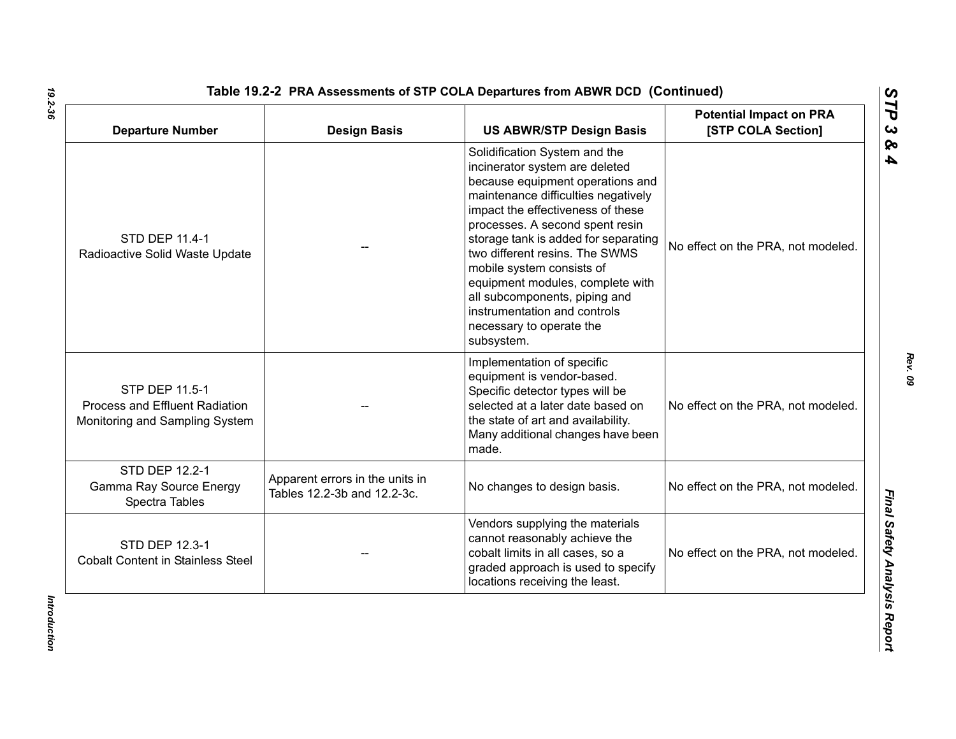| <b>Departure Number</b>                                                            | <b>Design Basis</b>                                            | <b>US ABWR/STP Design Basis</b>                                                                                                                                                                                                                                                                                                                                                                                                                                          | <b>Potential Impact on PRA</b><br>[STP COLA Section] |
|------------------------------------------------------------------------------------|----------------------------------------------------------------|--------------------------------------------------------------------------------------------------------------------------------------------------------------------------------------------------------------------------------------------------------------------------------------------------------------------------------------------------------------------------------------------------------------------------------------------------------------------------|------------------------------------------------------|
| STD DEP 11.4-1<br>Radioactive Solid Waste Update                                   |                                                                | Solidification System and the<br>incinerator system are deleted<br>because equipment operations and<br>maintenance difficulties negatively<br>impact the effectiveness of these<br>processes. A second spent resin<br>storage tank is added for separating<br>two different resins. The SWMS<br>mobile system consists of<br>equipment modules, complete with<br>all subcomponents, piping and<br>instrumentation and controls<br>necessary to operate the<br>subsystem. | No effect on the PRA, not modeled.                   |
| STP DEP 11.5-1<br>Process and Effluent Radiation<br>Monitoring and Sampling System |                                                                | Implementation of specific<br>equipment is vendor-based.<br>Specific detector types will be<br>selected at a later date based on<br>the state of art and availability.<br>Many additional changes have been<br>made.                                                                                                                                                                                                                                                     | No effect on the PRA, not modeled.                   |
| STD DEP 12.2-1<br>Gamma Ray Source Energy<br>Spectra Tables                        | Apparent errors in the units in<br>Tables 12.2-3b and 12.2-3c. | No changes to design basis.                                                                                                                                                                                                                                                                                                                                                                                                                                              | No effect on the PRA, not modeled.                   |
| <b>STD DEP 12.3-1</b><br><b>Cobalt Content in Stainless Steel</b>                  |                                                                | Vendors supplying the materials<br>cannot reasonably achieve the<br>cobalt limits in all cases, so a<br>graded approach is used to specify<br>locations receiving the least.                                                                                                                                                                                                                                                                                             | No effect on the PRA, not modeled.                   |

Introduction *Introduction*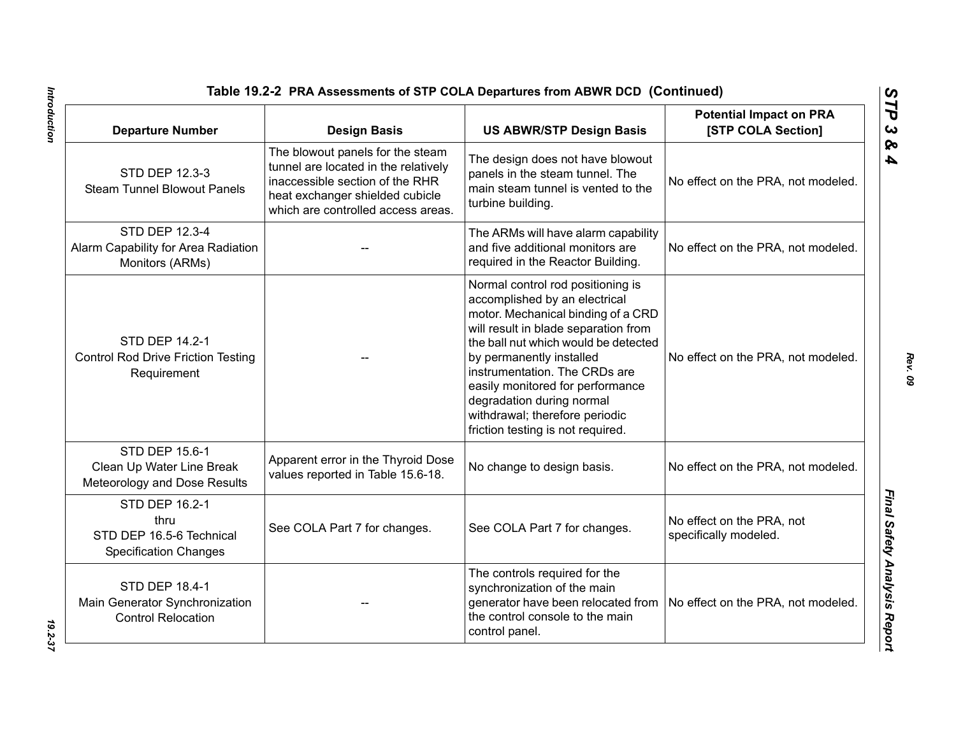| Table 19.2-2 PRA Assessments of STP COLA Departures from ABWR DCD (Continued)        |                                                                                                                                                                                      |                                                                                                                                                                                                                                                                                                                                                                                               |                                                      |
|--------------------------------------------------------------------------------------|--------------------------------------------------------------------------------------------------------------------------------------------------------------------------------------|-----------------------------------------------------------------------------------------------------------------------------------------------------------------------------------------------------------------------------------------------------------------------------------------------------------------------------------------------------------------------------------------------|------------------------------------------------------|
| <b>Departure Number</b>                                                              | <b>Design Basis</b>                                                                                                                                                                  | <b>US ABWR/STP Design Basis</b>                                                                                                                                                                                                                                                                                                                                                               | <b>Potential Impact on PRA</b><br>[STP COLA Section] |
| STD DEP 12.3-3<br><b>Steam Tunnel Blowout Panels</b>                                 | The blowout panels for the steam<br>tunnel are located in the relatively<br>inaccessible section of the RHR<br>heat exchanger shielded cubicle<br>which are controlled access areas. | The design does not have blowout<br>panels in the steam tunnel. The<br>main steam tunnel is vented to the<br>turbine building.                                                                                                                                                                                                                                                                | No effect on the PRA, not modeled.                   |
| STD DEP 12.3-4<br>Alarm Capability for Area Radiation<br>Monitors (ARMs)             |                                                                                                                                                                                      | The ARMs will have alarm capability<br>and five additional monitors are<br>required in the Reactor Building.                                                                                                                                                                                                                                                                                  | No effect on the PRA, not modeled.                   |
| STD DEP 14.2-1<br><b>Control Rod Drive Friction Testing</b><br>Requirement           |                                                                                                                                                                                      | Normal control rod positioning is<br>accomplished by an electrical<br>motor. Mechanical binding of a CRD<br>will result in blade separation from<br>the ball nut which would be detected<br>by permanently installed<br>instrumentation. The CRDs are<br>easily monitored for performance<br>degradation during normal<br>withdrawal; therefore periodic<br>friction testing is not required. | No effect on the PRA, not modeled.                   |
| STD DEP 15.6-1<br>Clean Up Water Line Break<br>Meteorology and Dose Results          | Apparent error in the Thyroid Dose<br>values reported in Table 15.6-18.                                                                                                              | No change to design basis.                                                                                                                                                                                                                                                                                                                                                                    | No effect on the PRA, not modeled.                   |
| STD DEP 16.2-1<br>thru<br>STD DEP 16.5-6 Technical<br><b>Specification Changes</b>   | See COLA Part 7 for changes.                                                                                                                                                         | See COLA Part 7 for changes.                                                                                                                                                                                                                                                                                                                                                                  | No effect on the PRA, not<br>specifically modeled.   |
| <b>STD DEP 18.4-1</b><br>Main Generator Synchronization<br><b>Control Relocation</b> |                                                                                                                                                                                      | The controls required for the<br>synchronization of the main<br>generator have been relocated from<br>the control console to the main<br>control panel.                                                                                                                                                                                                                                       | No effect on the PRA, not modeled.                   |

Introduction

*Rev. 09*

*STP 3 & 4*

*Introduction 19.2-37* 19.2-37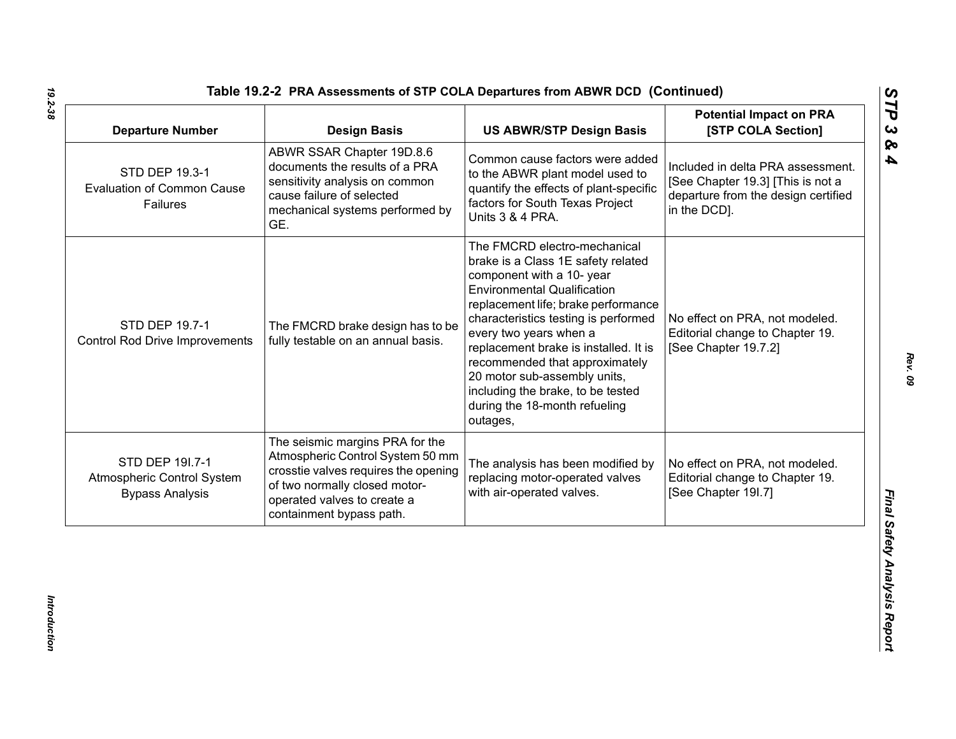| <b>Departure Number</b>                                                 | <b>Design Basis</b>                                                                                                                                                                                     | <b>US ABWR/STP Design Basis</b>                                                                                                                                                                                                                                                                                                                                                                                                             | <b>Potential Impact on PRA</b><br>[STP COLA Section]                                                                          |
|-------------------------------------------------------------------------|---------------------------------------------------------------------------------------------------------------------------------------------------------------------------------------------------------|---------------------------------------------------------------------------------------------------------------------------------------------------------------------------------------------------------------------------------------------------------------------------------------------------------------------------------------------------------------------------------------------------------------------------------------------|-------------------------------------------------------------------------------------------------------------------------------|
| STD DEP 19.3-1<br><b>Evaluation of Common Cause</b><br>Failures         | ABWR SSAR Chapter 19D.8.6<br>documents the results of a PRA<br>sensitivity analysis on common<br>cause failure of selected<br>mechanical systems performed by<br>GE.                                    | Common cause factors were added<br>to the ABWR plant model used to<br>quantify the effects of plant-specific<br>factors for South Texas Project<br>Units 3 & 4 PRA.                                                                                                                                                                                                                                                                         | Included in delta PRA assessment.<br>[See Chapter 19.3] [This is not a<br>departure from the design certified<br>in the DCD]. |
| STD DEP 19.7-1<br><b>Control Rod Drive Improvements</b>                 | The FMCRD brake design has to be<br>fully testable on an annual basis.                                                                                                                                  | The FMCRD electro-mechanical<br>brake is a Class 1E safety related<br>component with a 10- year<br><b>Environmental Qualification</b><br>replacement life; brake performance<br>characteristics testing is performed<br>every two years when a<br>replacement brake is installed. It is<br>recommended that approximately<br>20 motor sub-assembly units,<br>including the brake, to be tested<br>during the 18-month refueling<br>outages, | No effect on PRA, not modeled.<br>Editorial change to Chapter 19.<br>[See Chapter 19.7.2]                                     |
| STD DEP 191.7-1<br>Atmospheric Control System<br><b>Bypass Analysis</b> | The seismic margins PRA for the<br>Atmospheric Control System 50 mm<br>crosstie valves requires the opening<br>of two normally closed motor-<br>operated valves to create a<br>containment bypass path. | The analysis has been modified by<br>replacing motor-operated valves<br>with air-operated valves.                                                                                                                                                                                                                                                                                                                                           | No effect on PRA, not modeled.<br>Editorial change to Chapter 19.<br>[See Chapter 19I.7]                                      |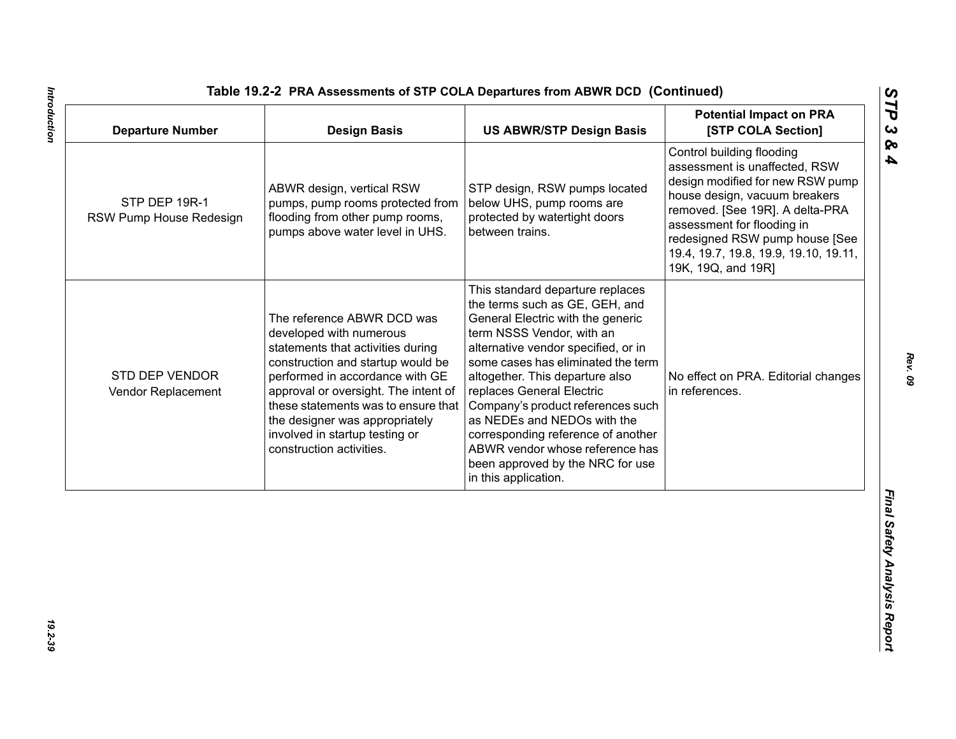| <b>Departure Number</b>                  | <b>Design Basis</b>                                                                                                                                                                                                                                                                                                                               | <b>US ABWR/STP Design Basis</b>                                                                                                                                                                                                                                                                                                                                                                                                                                                            | <b>Potential Impact on PRA</b><br>[STP COLA Section]                                                                                                                                                                                                                                              |
|------------------------------------------|---------------------------------------------------------------------------------------------------------------------------------------------------------------------------------------------------------------------------------------------------------------------------------------------------------------------------------------------------|--------------------------------------------------------------------------------------------------------------------------------------------------------------------------------------------------------------------------------------------------------------------------------------------------------------------------------------------------------------------------------------------------------------------------------------------------------------------------------------------|---------------------------------------------------------------------------------------------------------------------------------------------------------------------------------------------------------------------------------------------------------------------------------------------------|
| STP DEP 19R-1<br>RSW Pump House Redesign | ABWR design, vertical RSW<br>pumps, pump rooms protected from<br>flooding from other pump rooms,<br>pumps above water level in UHS.                                                                                                                                                                                                               | STP design, RSW pumps located<br>below UHS, pump rooms are<br>protected by watertight doors<br>between trains.                                                                                                                                                                                                                                                                                                                                                                             | Control building flooding<br>assessment is unaffected, RSW<br>design modified for new RSW pump<br>house design, vacuum breakers<br>removed. [See 19R]. A delta-PRA<br>assessment for flooding in<br>redesigned RSW pump house [See<br>19.4, 19.7, 19.8, 19.9, 19.10, 19.11,<br>19K, 19Q, and 19R] |
| STD DEP VENDOR<br>Vendor Replacement     | The reference ABWR DCD was<br>developed with numerous<br>statements that activities during<br>construction and startup would be<br>performed in accordance with GE<br>approval or oversight. The intent of<br>these statements was to ensure that<br>the designer was appropriately<br>involved in startup testing or<br>construction activities. | This standard departure replaces<br>the terms such as GE, GEH, and<br>General Electric with the generic<br>term NSSS Vendor, with an<br>alternative vendor specified, or in<br>some cases has eliminated the term<br>altogether. This departure also<br>replaces General Electric<br>Company's product references such<br>as NEDEs and NEDOs with the<br>corresponding reference of another<br>ABWR vendor whose reference has<br>been approved by the NRC for use<br>in this application. | No effect on PRA. Editorial changes<br>in references.                                                                                                                                                                                                                                             |
|                                          |                                                                                                                                                                                                                                                                                                                                                   |                                                                                                                                                                                                                                                                                                                                                                                                                                                                                            |                                                                                                                                                                                                                                                                                                   |